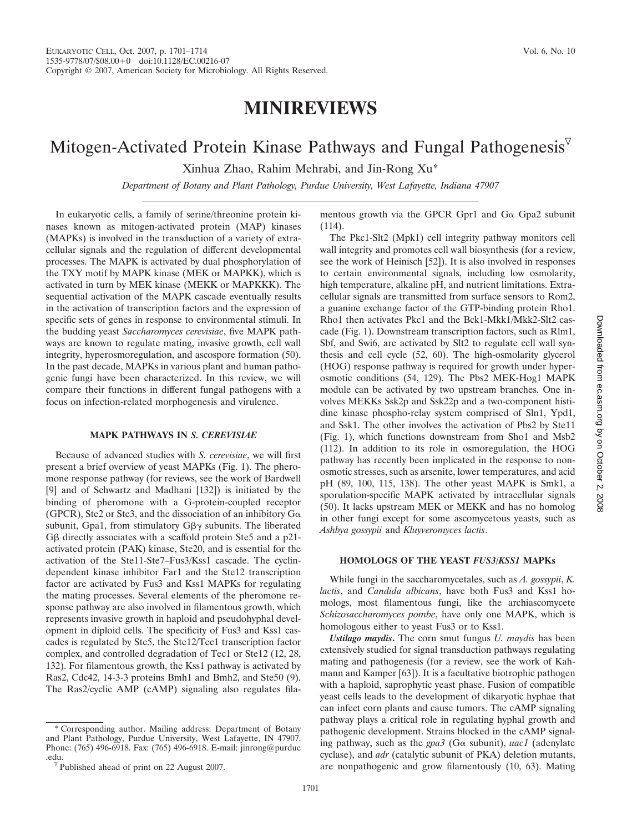# **MINIREVIEWS**

## Mitogen-Activated Protein Kinase Pathways and Fungal Pathogenesis $\sqrt{ }$

Xinhua Zhao, Rahim Mehrabi, and Jin-Rong Xu\*

*Department of Botany and Plant Pathology, Purdue University, West Lafayette, Indiana 47907*

In eukaryotic cells, a family of serine/threonine protein kinases known as mitogen-activated protein (MAP) kinases (MAPKs) is involved in the transduction of a variety of extracellular signals and the regulation of different developmental processes. The MAPK is activated by dual phosphorylation of the TXY motif by MAPK kinase (MEK or MAPKK), which is activated in turn by MEK kinase (MEKK or MAPKKK). The sequential activation of the MAPK cascade eventually results in the activation of transcription factors and the expression of specific sets of genes in response to environmental stimuli. In the budding yeast *Saccharomyces cerevisiae*, five MAPK pathways are known to regulate mating, invasive growth, cell wall integrity, hyperosmoregulation, and ascospore formation (50). In the past decade, MAPKs in various plant and human pathogenic fungi have been characterized. In this review, we will compare their functions in different fungal pathogens with a focus on infection-related morphogenesis and virulence.

### **MAPK PATHWAYS IN** *S. CEREVISIAE*

Because of advanced studies with *S. cerevisiae*, we will first present a brief overview of yeast MAPKs (Fig. 1). The pheromone response pathway (for reviews, see the work of Bardwell [9] and of Schwartz and Madhani [132]) is initiated by the binding of pheromone with a G-protein-coupled receptor (GPCR), Ste2 or Ste3, and the dissociation of an inhibitory  $G\alpha$ subunit, Gpa1, from stimulatory  $G\beta\gamma$  subunits. The liberated G $\beta$  directly associates with a scaffold protein Ste5 and a p21activated protein (PAK) kinase, Ste20, and is essential for the activation of the Ste11-Ste7–Fus3/Kss1 cascade. The cyclindependent kinase inhibitor Far1 and the Ste12 transcription factor are activated by Fus3 and Kss1 MAPKs for regulating the mating processes. Several elements of the pheromone response pathway are also involved in filamentous growth, which represents invasive growth in haploid and pseudohyphal development in diploid cells. The specificity of Fus3 and Kss1 cascades is regulated by Ste5, the Ste12/Tec1 transcription factor complex, and controlled degradation of Tec1 or Ste12 (12, 28, 132). For filamentous growth, the Kss1 pathway is activated by Ras2, Cdc42, 14-3-3 proteins Bmh1 and Bmh2, and Ste50 (9). The Ras2/cyclic AMP (cAMP) signaling also regulates fila-

\* Corresponding author. Mailing address: Department of Botany and Plant Pathology, Purdue University, West Lafayette, IN 47907. Phone: (765) 496-6918. Fax: (765) 496-6918. E-mail: jinrong@purdue %.edu.  $\nabla$  Published ahead of print on 22 August 2007.

mentous growth via the GPCR Gpr1 and  $G\alpha$  Gpa2 subunit (114).

The Pkc1-Slt2 (Mpk1) cell integrity pathway monitors cell wall integrity and promotes cell wall biosynthesis (for a review, see the work of Heinisch [52]). It is also involved in responses to certain environmental signals, including low osmolarity, high temperature, alkaline pH, and nutrient limitations. Extracellular signals are transmitted from surface sensors to Rom2, a guanine exchange factor of the GTP-binding protein Rho1. Rho1 then activates Pkc1 and the Bck1-Mkk1/Mkk2-Slt2 cascade (Fig. 1). Downstream transcription factors, such as Rlm1, Sbf, and Swi6, are activated by Slt2 to regulate cell wall synthesis and cell cycle (52, 60). The high-osmolarity glycerol (HOG) response pathway is required for growth under hyperosmotic conditions (54, 129). The Pbs2 MEK-Hog1 MAPK module can be activated by two upstream branches. One involves MEKKs Ssk2p and Ssk22p and a two-component histidine kinase phospho-relay system comprised of Sln1, Ypd1, and Ssk1. The other involves the activation of Pbs2 by Ste11 (Fig. 1), which functions downstream from Sho1 and Msb2 (112). In addition to its role in osmoregulation, the HOG pathway has recently been implicated in the response to nonosmotic stresses, such as arsenite, lower temperatures, and acid pH (89, 100, 115, 138). The other yeast MAPK is Smk1, a sporulation-specific MAPK activated by intracellular signals (50). It lacks upstream MEK or MEKK and has no homolog in other fungi except for some ascomycetous yeasts, such as *Ashbya gossypii* and *Kluyveromyces lactis*.

## **HOMOLOGS OF THE YEAST** *FUS3/KSS1* **MAPKs**

While fungi in the saccharomycetales, such as *A. gossypii*, *K. lactis*, and *Candida albicans*, have both Fus3 and Kss1 homologs, most filamentous fungi, like the archiascomycete *Schizosaccharomyces pombe*, have only one MAPK, which is homologous either to yeast Fus3 or to Kss1.

*Ustilago maydis***.** The corn smut fungus *U. maydis* has been extensively studied for signal transduction pathways regulating mating and pathogenesis (for a review, see the work of Kahmann and Kamper [63]). It is a facultative biotrophic pathogen with a haploid, saprophytic yeast phase. Fusion of compatible yeast cells leads to the development of dikaryotic hyphae that can infect corn plants and cause tumors. The cAMP signaling pathway plays a critical role in regulating hyphal growth and pathogenic development. Strains blocked in the cAMP signaling pathway, such as the  $gpa3$  (G $\alpha$  subunit), *uac1* (adenylate cyclase), and *adr* (catalytic subunit of PKA) deletion mutants, are nonpathogenic and grow filamentously (10, 63). Mating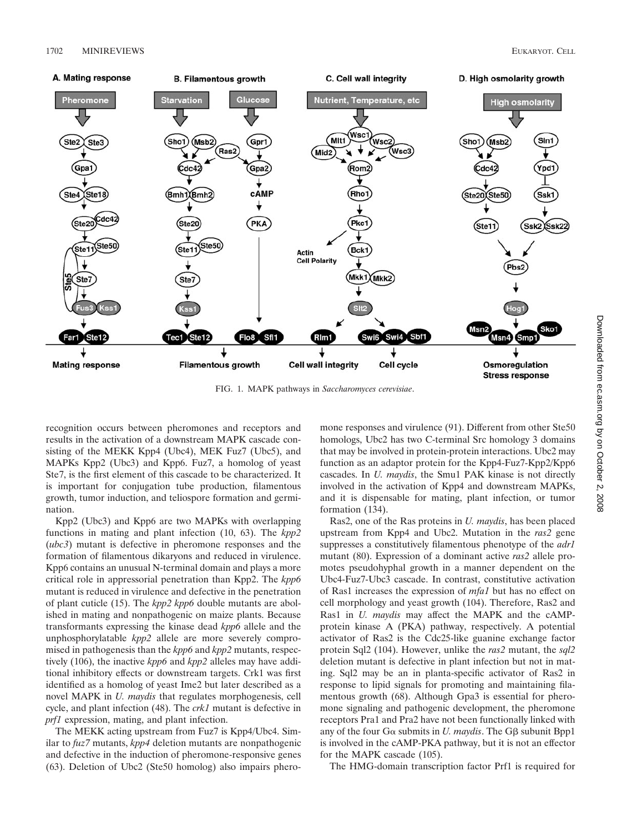

FIG. 1. MAPK pathways in *Saccharomyces cerevisiae*.

recognition occurs between pheromones and receptors and results in the activation of a downstream MAPK cascade consisting of the MEKK Kpp4 (Ubc4), MEK Fuz7 (Ubc5), and MAPKs Kpp2 (Ubc3) and Kpp6. Fuz7, a homolog of yeast Ste7, is the first element of this cascade to be characterized. It is important for conjugation tube production, filamentous growth, tumor induction, and teliospore formation and germination.

Kpp2 (Ubc3) and Kpp6 are two MAPKs with overlapping functions in mating and plant infection (10, 63). The *kpp2* (*ubc3*) mutant is defective in pheromone responses and the formation of filamentous dikaryons and reduced in virulence. Kpp6 contains an unusual N-terminal domain and plays a more critical role in appressorial penetration than Kpp2. The *kpp6* mutant is reduced in virulence and defective in the penetration of plant cuticle (15). The *kpp2 kpp6* double mutants are abolished in mating and nonpathogenic on maize plants. Because transformants expressing the kinase dead *kpp6* allele and the unphosphorylatable *kpp2* allele are more severely compromised in pathogenesis than the *kpp6* and *kpp2* mutants, respectively (106), the inactive *kpp6* and *kpp2* alleles may have additional inhibitory effects or downstream targets. Crk1 was first identified as a homolog of yeast Ime2 but later described as a novel MAPK in *U. maydis* that regulates morphogenesis, cell cycle, and plant infection (48). The *crk1* mutant is defective in *prf1* expression, mating, and plant infection.

The MEKK acting upstream from Fuz7 is Kpp4/Ubc4. Similar to *fuz7* mutants, *kpp4* deletion mutants are nonpathogenic and defective in the induction of pheromone-responsive genes (63). Deletion of Ubc2 (Ste50 homolog) also impairs pheromone responses and virulence (91). Different from other Ste50 homologs, Ubc2 has two C-terminal Src homology 3 domains that may be involved in protein-protein interactions. Ubc2 may function as an adaptor protein for the Kpp4-Fuz7-Kpp2/Kpp6 cascades. In *U. maydis*, the Smu1 PAK kinase is not directly involved in the activation of Kpp4 and downstream MAPKs, and it is dispensable for mating, plant infection, or tumor formation (134).

Ras2, one of the Ras proteins in *U. maydis*, has been placed upstream from Kpp4 and Ubc2. Mutation in the *ras2* gene suppresses a constitutively filamentous phenotype of the *adr1* mutant (80). Expression of a dominant active *ras2* allele promotes pseudohyphal growth in a manner dependent on the Ubc4-Fuz7-Ubc3 cascade. In contrast, constitutive activation of Ras1 increases the expression of *mfa1* but has no effect on cell morphology and yeast growth (104). Therefore, Ras2 and Ras1 in *U. maydis* may affect the MAPK and the cAMPprotein kinase A (PKA) pathway, respectively. A potential activator of Ras2 is the Cdc25-like guanine exchange factor protein Sql2 (104). However, unlike the *ras2* mutant, the *sql2* deletion mutant is defective in plant infection but not in mating. Sql2 may be an in planta-specific activator of Ras2 in response to lipid signals for promoting and maintaining filamentous growth (68). Although Gpa3 is essential for pheromone signaling and pathogenic development, the pheromone receptors Pra1 and Pra2 have not been functionally linked with any of the four  $G\alpha$  submits in *U. maydis*. The  $G\beta$  subunit Bpp1 is involved in the cAMP-PKA pathway, but it is not an effector for the MAPK cascade (105).

The HMG-domain transcription factor Prf1 is required for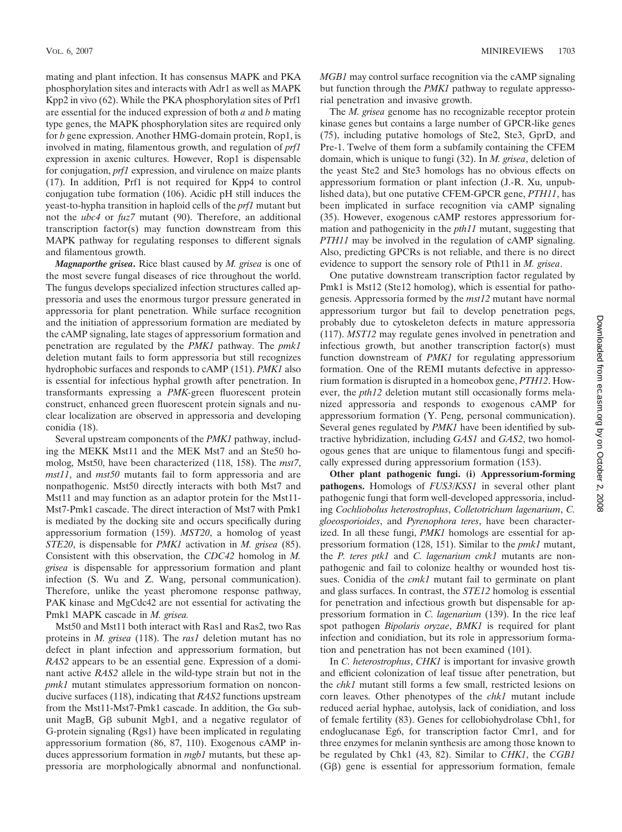mating and plant infection. It has consensus MAPK and PKA phosphorylation sites and interacts with Adr1 as well as MAPK Kpp2 in vivo (62). While the PKA phosphorylation sites of Prf1 are essential for the induced expression of both *a* and *b* mating type genes, the MAPK phosphorylation sites are required only for *b* gene expression. Another HMG-domain protein, Rop1, is involved in mating, filamentous growth, and regulation of *prf1* expression in axenic cultures. However, Rop1 is dispensable for conjugation, *prf1* expression, and virulence on maize plants (17). In addition, Prf1 is not required for Kpp4 to control conjugation tube formation (106). Acidic pH still induces the yeast-to-hypha transition in haploid cells of the *prf1* mutant but not the *ubc4* or *fuz7* mutant (90). Therefore, an additional transcription factor(s) may function downstream from this MAPK pathway for regulating responses to different signals and filamentous growth.

*Magnaporthe grisea***.** Rice blast caused by *M. grisea* is one of the most severe fungal diseases of rice throughout the world. The fungus develops specialized infection structures called appressoria and uses the enormous turgor pressure generated in appressoria for plant penetration. While surface recognition and the initiation of appressorium formation are mediated by the cAMP signaling, late stages of appressorium formation and penetration are regulated by the *PMK1* pathway. The *pmk1* deletion mutant fails to form appressoria but still recognizes hydrophobic surfaces and responds to cAMP (151). *PMK1* also is essential for infectious hyphal growth after penetration. In transformants expressing a *PMK-*green fluorescent protein construct, enhanced green fluorescent protein signals and nuclear localization are observed in appressoria and developing conidia (18).

Several upstream components of the *PMK1* pathway, including the MEKK Mst11 and the MEK Mst7 and an Ste50 homolog, Mst50, have been characterized (118, 158). The *mst7*, *mst11*, and *mst50* mutants fail to form appressoria and are nonpathogenic. Mst50 directly interacts with both Mst7 and Mst11 and may function as an adaptor protein for the Mst11- Mst7-Pmk1 cascade. The direct interaction of Mst7 with Pmk1 is mediated by the docking site and occurs specifically during appressorium formation (159). *MST20*, a homolog of yeast *STE20*, is dispensable for *PMK1* activation in *M. grisea* (85). Consistent with this observation, the *CDC42* homolog in *M. grisea* is dispensable for appressorium formation and plant infection (S. Wu and Z. Wang, personal communication). Therefore, unlike the yeast pheromone response pathway, PAK kinase and MgCdc42 are not essential for activating the Pmk1 MAPK cascade in *M. grisea.*

Mst50 and Mst11 both interact with Ras1 and Ras2, two Ras proteins in *M. grisea* (118). The *ras1* deletion mutant has no defect in plant infection and appressorium formation, but *RAS2* appears to be an essential gene. Expression of a dominant active *RAS2* allele in the wild-type strain but not in the *pmk1* mutant stimulates appressorium formation on nonconducive surfaces (118), indicating that *RAS2* functions upstream from the Mst11-Mst7-Pmk1 cascade. In addition, the  $G\alpha$  subunit MagB,  $G\beta$  subunit Mgb1, and a negative regulator of G-protein signaling (Rgs1) have been implicated in regulating appressorium formation (86, 87, 110). Exogenous cAMP induces appressorium formation in *mgb1* mutants, but these appressoria are morphologically abnormal and nonfunctional.

*MGB1* may control surface recognition via the cAMP signaling but function through the *PMK1* pathway to regulate appressorial penetration and invasive growth.

The *M. grisea* genome has no recognizable receptor protein kinase genes but contains a large number of GPCR-like genes (75), including putative homologs of Ste2, Ste3, GprD, and Pre-1. Twelve of them form a subfamily containing the CFEM domain, which is unique to fungi (32). In *M. grisea*, deletion of the yeast Ste2 and Ste3 homologs has no obvious effects on appressorium formation or plant infection (J.-R. Xu, unpublished data), but one putative CFEM-GPCR gene, *PTH11*, has been implicated in surface recognition via cAMP signaling (35). However, exogenous cAMP restores appressorium formation and pathogenicity in the *pth11* mutant, suggesting that *PTH11* may be involved in the regulation of cAMP signaling. Also, predicting GPCRs is not reliable, and there is no direct evidence to support the sensory role of Pth11 in *M. grisea*.

One putative downstream transcription factor regulated by Pmk1 is Mst12 (Ste12 homolog), which is essential for pathogenesis. Appressoria formed by the *mst12* mutant have normal appressorium turgor but fail to develop penetration pegs, probably due to cytoskeleton defects in mature appressoria (117). *MST12* may regulate genes involved in penetration and infectious growth, but another transcription factor(s) must function downstream of *PMK1* for regulating appressorium formation. One of the REMI mutants defective in appressorium formation is disrupted in a homeobox gene, *PTH12*. However, the *pth12* deletion mutant still occasionally forms melanized appressoria and responds to exogenous cAMP for appressorium formation (Y. Peng, personal communication). Several genes regulated by *PMK1* have been identified by subtractive hybridization, including *GAS1* and *GAS2*, two homologous genes that are unique to filamentous fungi and specifically expressed during appressorium formation (153).

**Other plant pathogenic fungi. (i) Appressorium-forming pathogens.** Homologs of *FUS3*/*KSS1* in several other plant pathogenic fungi that form well-developed appressoria, including *Cochliobolus heterostrophus*, *Colletotrichum lagenarium*, *C. gloeosporioides*, and *Pyrenophora teres*, have been characterized. In all these fungi, *PMK1* homologs are essential for appressorium formation (128, 151). Similar to the *pmk1* mutant, the *P. teres ptk1* and *C. lagenarium cmk1* mutants are nonpathogenic and fail to colonize healthy or wounded host tissues. Conidia of the *cmk1* mutant fail to germinate on plant and glass surfaces. In contrast, the *STE12* homolog is essential for penetration and infectious growth but dispensable for appressorium formation in *C. lagenarium* (139). In the rice leaf spot pathogen *Bipolaris oryzae*, *BMK1* is required for plant infection and conidiation, but its role in appressorium formation and penetration has not been examined (101).

In *C. heterostrophus*, *CHK1* is important for invasive growth and efficient colonization of leaf tissue after penetration, but the *chk1* mutant still forms a few small, restricted lesions on corn leaves. Other phenotypes of the *chk1* mutant include reduced aerial hyphae, autolysis, lack of conidiation, and loss of female fertility (83). Genes for cellobiohydrolase Cbh1, for endoglucanase Eg6, for transcription factor Cmr1, and for three enzymes for melanin synthesis are among those known to be regulated by Chk1 (43, 82). Similar to *CHK1*, the *CGB1*  $(G\beta)$  gene is essential for appressorium formation, female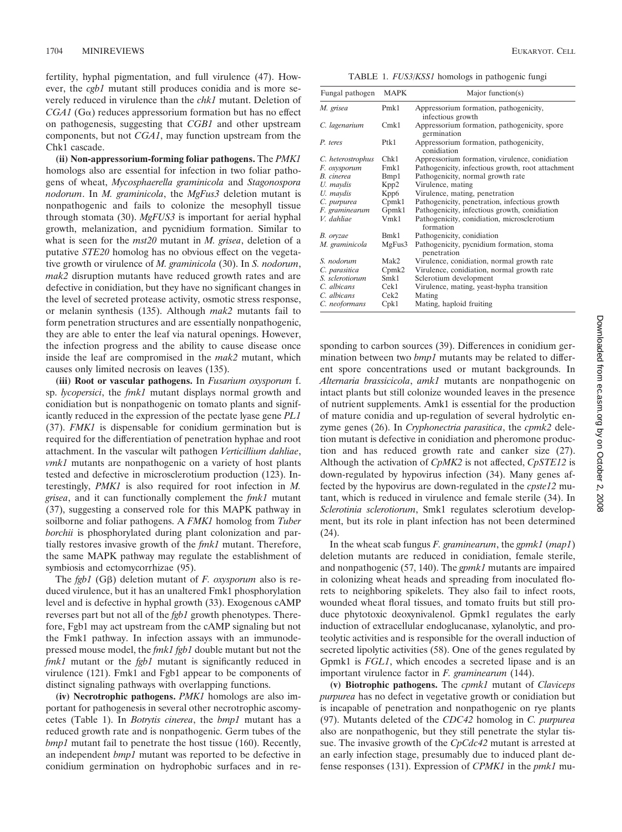fertility, hyphal pigmentation, and full virulence (47). However, the *cgb1* mutant still produces conidia and is more severely reduced in virulence than the *chk1* mutant. Deletion of  $CGA1$  (G $\alpha$ ) reduces appressorium formation but has no effect on pathogenesis, suggesting that *CGB1* and other upstream components, but not *CGA1*, may function upstream from the Chk1 cascade.

**(ii) Non-appressorium-forming foliar pathogens.** The *PMK1* homologs also are essential for infection in two foliar pathogens of wheat, *Mycosphaerella graminicola* and *Stagonospora nodorum*. In *M. graminicola*, the *MgFus3* deletion mutant is nonpathogenic and fails to colonize the mesophyll tissue through stomata (30). *MgFUS3* is important for aerial hyphal growth, melanization, and pycnidium formation. Similar to what is seen for the *mst20* mutant in *M. grisea*, deletion of a putative *STE20* homolog has no obvious effect on the vegetative growth or virulence of *M. graminicola* (30). In *S. nodorum*, *mak2* disruption mutants have reduced growth rates and are defective in conidiation, but they have no significant changes in the level of secreted protease activity, osmotic stress response, or melanin synthesis (135). Although *mak2* mutants fail to form penetration structures and are essentially nonpathogenic, they are able to enter the leaf via natural openings. However, the infection progress and the ability to cause disease once inside the leaf are compromised in the *mak2* mutant, which causes only limited necrosis on leaves (135).

**(iii) Root or vascular pathogens.** In *Fusarium oxysporum* f. sp. *lycopersici*, the *fmk1* mutant displays normal growth and conidiation but is nonpathogenic on tomato plants and significantly reduced in the expression of the pectate lyase gene *PL1* (37). *FMK1* is dispensable for conidium germination but is required for the differentiation of penetration hyphae and root attachment. In the vascular wilt pathogen *Verticillium dahliae*, *vmk1* mutants are nonpathogenic on a variety of host plants tested and defective in microsclerotium production (123). Interestingly, *PMK1* is also required for root infection in *M. grisea*, and it can functionally complement the *fmk1* mutant (37), suggesting a conserved role for this MAPK pathway in soilborne and foliar pathogens. A *FMK1* homolog from *Tuber borchii* is phosphorylated during plant colonization and partially restores invasive growth of the *fmk1* mutant. Therefore, the same MAPK pathway may regulate the establishment of symbiosis and ectomycorrhizae (95).

The *fgb1* (Gβ) deletion mutant of *F. oxysporum* also is reduced virulence, but it has an unaltered Fmk1 phosphorylation level and is defective in hyphal growth (33). Exogenous cAMP reverses part but not all of the *fgb1* growth phenotypes. Therefore, Fgb1 may act upstream from the cAMP signaling but not the Fmk1 pathway. In infection assays with an immunodepressed mouse model, the *fmk1 fgb1* double mutant but not the *fmk1* mutant or the *fgb1* mutant is significantly reduced in virulence (121). Fmk1 and Fgb1 appear to be components of distinct signaling pathways with overlapping functions.

**(iv) Necrotrophic pathogens.** *PMK1* homologs are also important for pathogenesis in several other necrotrophic ascomycetes (Table 1). In *Botrytis cinerea*, the *bmp1* mutant has a reduced growth rate and is nonpathogenic. Germ tubes of the *bmp1* mutant fail to penetrate the host tissue (160). Recently, an independent *bmp1* mutant was reported to be defective in conidium germination on hydrophobic surfaces and in re-

TABLE 1. *FUS3/KSS1* homologs in pathogenic fungi

| Fungal pathogen   | <b>MAPK</b>      | Major function(s)                                           |
|-------------------|------------------|-------------------------------------------------------------|
| M. grisea         | Pmk1             | Appressorium formation, pathogenicity,<br>infectious growth |
| C. lagenarium     | Cm <sub>k1</sub> | Appressorium formation, pathogenicity, spore<br>germination |
| P. teres          | Ptk1             | Appressorium formation, pathogenicity,<br>conidiation       |
| C. heterostrophus | Chk1             | Appressorium formation, virulence, conidiation              |
| F. oxysporum      | Fmk1             | Pathogenicity, infectious growth, root attachment           |
| B. cinerea        | Bmp1             | Pathogenicity, normal growth rate                           |
| U. maydis         | Kpp2             | Virulence, mating                                           |
| U. maydis         | Kpp6             | Virulence, mating, penetration                              |
| C. purpurea       | Cpmk1            | Pathogenicity, penetration, infectious growth               |
| F. graminearum    | Gpmk1            | Pathogenicity, infectious growth, conidiation               |
| V. dahliae        | $V$ m $k1$       | Pathogenicity, conidiation, microsclerotium<br>formation    |
| B. oryzae         | Bmk1             | Pathogenicity, conidiation                                  |
| M. graminicola    | MgFus3           | Pathogenicity, pycnidium formation, stoma<br>penetration    |
| S. nodorum        | Mak2             | Virulence, conidiation, normal growth rate                  |
| C. parasitica     | Cpmk2            | Virulence, conidiation, normal growth rate                  |
| S. sclerotiorum   | Smk1             | Sclerotium development                                      |
| C. albicans       | Cek1             | Virulence, mating, yeast-hypha transition                   |
| C. albicans       | Cek <sub>2</sub> | Mating                                                      |
| C. neoformans     | Cpk1             | Mating, haploid fruiting                                    |

sponding to carbon sources (39). Differences in conidium germination between two *bmp1* mutants may be related to different spore concentrations used or mutant backgrounds. In *Alternaria brassicicola*, *amk1* mutants are nonpathogenic on intact plants but still colonize wounded leaves in the presence of nutrient supplements. Amk1 is essential for the production of mature conidia and up-regulation of several hydrolytic enzyme genes (26). In *Cryphonectria parasitica*, the *cpmk2* deletion mutant is defective in conidiation and pheromone production and has reduced growth rate and canker size (27). Although the activation of *CpMK2* is not affected, *CpSTE12* is down-regulated by hypovirus infection (34). Many genes affected by the hypovirus are down-regulated in the *cpste12* mutant, which is reduced in virulence and female sterile (34). In *Sclerotinia sclerotiorum*, Smk1 regulates sclerotium development, but its role in plant infection has not been determined (24).

In the wheat scab fungus *F. graminearum*, the *gpmk1* (*map1*) deletion mutants are reduced in conidiation, female sterile, and nonpathogenic (57, 140). The *gpmk1* mutants are impaired in colonizing wheat heads and spreading from inoculated florets to neighboring spikelets. They also fail to infect roots, wounded wheat floral tissues, and tomato fruits but still produce phytotoxic deoxynivalenol. Gpmk1 regulates the early induction of extracellular endoglucanase, xylanolytic, and proteolytic activities and is responsible for the overall induction of secreted lipolytic activities (58). One of the genes regulated by Gpmk1 is *FGL1*, which encodes a secreted lipase and is an important virulence factor in *F. graminearum* (144).

**(v) Biotrophic pathogens.** The *cpmk1* mutant of *Claviceps purpurea* has no defect in vegetative growth or conidiation but is incapable of penetration and nonpathogenic on rye plants (97). Mutants deleted of the *CDC42* homolog in *C. purpurea* also are nonpathogenic, but they still penetrate the stylar tissue. The invasive growth of the *CpCdc42* mutant is arrested at an early infection stage, presumably due to induced plant defense responses (131). Expression of *CPMK1* in the *pmk1* mu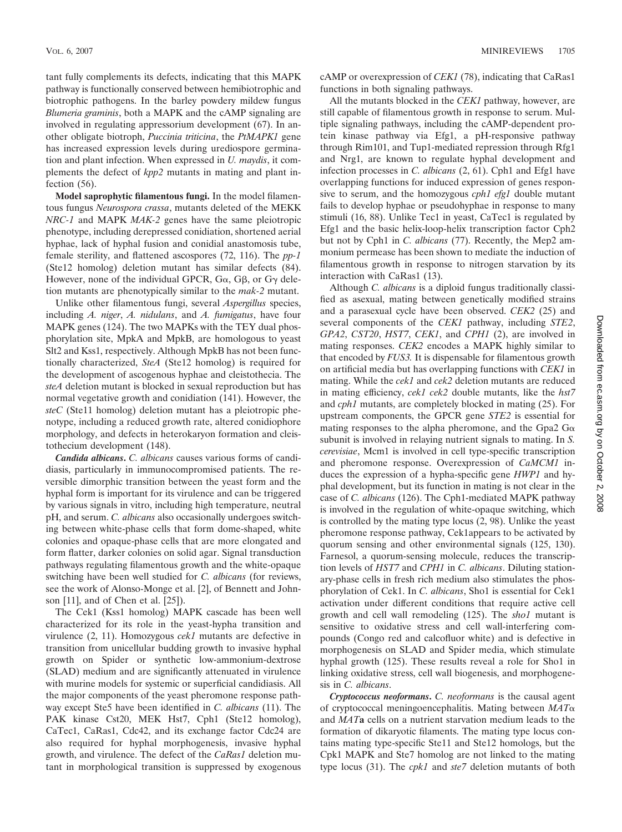tant fully complements its defects, indicating that this MAPK pathway is functionally conserved between hemibiotrophic and biotrophic pathogens. In the barley powdery mildew fungus *Blumeria graminis*, both a MAPK and the cAMP signaling are involved in regulating appressorium development (67). In another obligate biotroph, *Puccinia triticina*, the *PtMAPK1* gene has increased expression levels during urediospore germination and plant infection. When expressed in *U. maydis*, it complements the defect of *kpp2* mutants in mating and plant infection (56).

**Model saprophytic filamentous fungi.** In the model filamentous fungus *Neurospora crassa*, mutants deleted of the MEKK *NRC-1* and MAPK *MAK-2* genes have the same pleiotropic phenotype, including derepressed conidiation, shortened aerial hyphae, lack of hyphal fusion and conidial anastomosis tube, female sterility, and flattened ascospores (72, 116). The *pp-1* (Ste12 homolog) deletion mutant has similar defects (84). However, none of the individual GPCR,  $G\alpha$ ,  $G\beta$ , or  $G\gamma$  deletion mutants are phenotypically similar to the *mak-2* mutant.

Unlike other filamentous fungi, several *Aspergillus* species, including *A. niger*, *A. nidulans*, and *A. fumigatus*, have four MAPK genes (124). The two MAPKs with the TEY dual phosphorylation site, MpkA and MpkB, are homologous to yeast Slt2 and Kss1, respectively. Although MpkB has not been functionally characterized, *SteA* (Ste12 homolog) is required for the development of ascogenous hyphae and cleistothecia. The *steA* deletion mutant is blocked in sexual reproduction but has normal vegetative growth and conidiation (141). However, the *steC* (Ste11 homolog) deletion mutant has a pleiotropic phenotype, including a reduced growth rate, altered conidiophore morphology, and defects in heterokaryon formation and cleistothecium development (148).

*Candida albicans***.** *C. albicans* causes various forms of candidiasis, particularly in immunocompromised patients. The reversible dimorphic transition between the yeast form and the hyphal form is important for its virulence and can be triggered by various signals in vitro, including high temperature, neutral pH, and serum. *C. albicans* also occasionally undergoes switching between white-phase cells that form dome-shaped, white colonies and opaque-phase cells that are more elongated and form flatter, darker colonies on solid agar. Signal transduction pathways regulating filamentous growth and the white-opaque switching have been well studied for *C. albicans* (for reviews, see the work of Alonso-Monge et al. [2], of Bennett and Johnson [11], and of Chen et al. [25]).

The Cek1 (Kss1 homolog) MAPK cascade has been well characterized for its role in the yeast-hypha transition and virulence (2, 11). Homozygous *cek1* mutants are defective in transition from unicellular budding growth to invasive hyphal growth on Spider or synthetic low-ammonium-dextrose (SLAD) medium and are significantly attenuated in virulence with murine models for systemic or superficial candidiasis. All the major components of the yeast pheromone response pathway except Ste5 have been identified in *C. albicans* (11). The PAK kinase Cst20, MEK Hst7, Cph1 (Ste12 homolog), CaTec1, CaRas1, Cdc42, and its exchange factor Cdc24 are also required for hyphal morphogenesis, invasive hyphal growth, and virulence. The defect of the *CaRas1* deletion mutant in morphological transition is suppressed by exogenous cAMP or overexpression of *CEK1* (78), indicating that CaRas1 functions in both signaling pathways.

All the mutants blocked in the *CEK1* pathway, however, are still capable of filamentous growth in response to serum. Multiple signaling pathways, including the cAMP-dependent protein kinase pathway via Efg1, a pH-responsive pathway through Rim101, and Tup1-mediated repression through Rfg1 and Nrg1, are known to regulate hyphal development and infection processes in *C. albicans* (2, 61). Cph1 and Efg1 have overlapping functions for induced expression of genes responsive to serum, and the homozygous *cph1 efg1* double mutant fails to develop hyphae or pseudohyphae in response to many stimuli (16, 88). Unlike Tec1 in yeast, CaTec1 is regulated by Efg1 and the basic helix-loop-helix transcription factor Cph2 but not by Cph1 in *C. albicans* (77). Recently, the Mep2 ammonium permease has been shown to mediate the induction of filamentous growth in response to nitrogen starvation by its interaction with CaRas1 (13).

Although *C. albicans* is a diploid fungus traditionally classified as asexual, mating between genetically modified strains and a parasexual cycle have been observed. *CEK2* (25) and several components of the *CEK1* pathway, including *STE2*, *GPA2*, *CST20*, *HST7*, *CEK1*, and *CPH1* (2), are involved in mating responses. *CEK2* encodes a MAPK highly similar to that encoded by *FUS3.* It is dispensable for filamentous growth on artificial media but has overlapping functions with *CEK1* in mating. While the *cek1* and *cek2* deletion mutants are reduced in mating efficiency, *cek1 cek2* double mutants, like the *hst7* and *cph1* mutants, are completely blocked in mating (25). For upstream components, the GPCR gene *STE2* is essential for mating responses to the alpha pheromone, and the Gpa2  $Ga$ subunit is involved in relaying nutrient signals to mating. In *S. cerevisiae*, Mcm1 is involved in cell type-specific transcription and pheromone response. Overexpression of *CaMCM1* induces the expression of a hypha-specific gene *HWP1* and hyphal development, but its function in mating is not clear in the case of *C. albicans* (126). The Cph1-mediated MAPK pathway is involved in the regulation of white-opaque switching, which is controlled by the mating type locus (2, 98). Unlike the yeast pheromone response pathway, Cek1appears to be activated by quorum sensing and other environmental signals (125, 130). Farnesol, a quorum-sensing molecule, reduces the transcription levels of *HST7* and *CPH1* in *C. albicans*. Diluting stationary-phase cells in fresh rich medium also stimulates the phosphorylation of Cek1. In *C. albicans*, Sho1 is essential for Cek1 activation under different conditions that require active cell growth and cell wall remodeling (125). The *sho1* mutant is sensitive to oxidative stress and cell wall-interfering compounds (Congo red and calcofluor white) and is defective in morphogenesis on SLAD and Spider media, which stimulate hyphal growth (125). These results reveal a role for Sho1 in linking oxidative stress, cell wall biogenesis, and morphogenesis in *C. albicans*.

*Cryptococcus neoformans***.** *C. neoformans* is the causal agent of cryptococcal meningoencephalitis. Mating between *MAT* and *MAT***a** cells on a nutrient starvation medium leads to the formation of dikaryotic filaments. The mating type locus contains mating type-specific Ste11 and Ste12 homologs, but the Cpk1 MAPK and Ste7 homolog are not linked to the mating type locus (31). The *cpk1* and *ste7* deletion mutants of both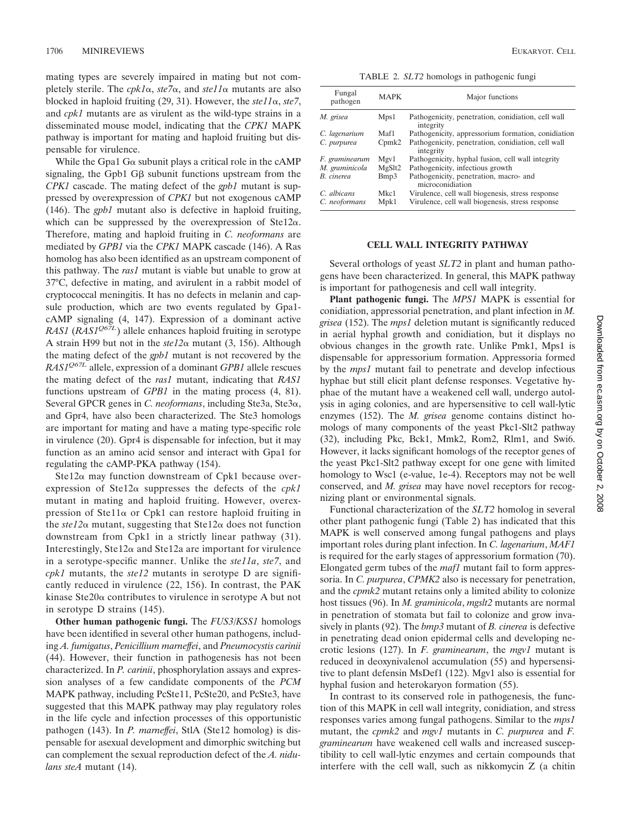mating types are severely impaired in mating but not completely sterile. The  $\epsilon p k I \alpha$ , *ste*7 $\alpha$ , and *ste11* $\alpha$  mutants are also blocked in haploid fruiting  $(29, 31)$ . However, the *stell*  $\alpha$ *, ste7*, and *cpk1* mutants are as virulent as the wild-type strains in a disseminated mouse model, indicating that the *CPK1* MAPK pathway is important for mating and haploid fruiting but dispensable for virulence.

While the Gpa1 G $\alpha$  subunit plays a critical role in the cAMP signaling, the Gpb1  $G\beta$  subunit functions upstream from the *CPK1* cascade. The mating defect of the *gpb1* mutant is suppressed by overexpression of *CPK1* but not exogenous cAMP (146). The *gpb1* mutant also is defective in haploid fruiting, which can be suppressed by the overexpression of  $\text{Ste}12\alpha$ . Therefore, mating and haploid fruiting in *C. neoformans* are mediated by *GPB1* via the *CPK1* MAPK cascade (146). A Ras homolog has also been identified as an upstream component of this pathway. The *ras1* mutant is viable but unable to grow at 37°C, defective in mating, and avirulent in a rabbit model of cryptococcal meningitis. It has no defects in melanin and capsule production, which are two events regulated by Gpa1 cAMP signaling (4, 147). Expression of a dominant active *RAS1* ( $RASI^{Q67L}$ ) allele enhances haploid fruiting in serotype A strain H99 but not in the  $ste12\alpha$  mutant (3, 156). Although the mating defect of the *gpb1* mutant is not recovered by the *RAS1Q67L* allele, expression of a dominant *GPB1* allele rescues the mating defect of the *ras1* mutant, indicating that *RAS1* functions upstream of *GPB1* in the mating process (4, 81). Several GPCR genes in *C. neoformans*, including Ste3a, Ste3α, and Gpr4, have also been characterized. The Ste3 homologs are important for mating and have a mating type-specific role in virulence (20). Gpr4 is dispensable for infection, but it may function as an amino acid sensor and interact with Gpa1 for regulating the cAMP-PKA pathway (154).

 $Ste12\alpha$  may function downstream of Cpk1 because overexpression of Ste12 $\alpha$  suppresses the defects of the *cpk1* mutant in mating and haploid fruiting. However, overexpression of Ste11 $\alpha$  or Cpk1 can restore haploid fruiting in the  $ste12\alpha$  mutant, suggesting that Ste12 $\alpha$  does not function downstream from Cpk1 in a strictly linear pathway (31). Interestingly,  $\text{Ste12}\alpha$  and  $\text{Ste12}a$  are important for virulence in a serotype-specific manner. Unlike the *ste11a*, *ste7*, and *cpk1* mutants, the *ste12* mutants in serotype D are significantly reduced in virulence (22, 156). In contrast, the PAK kinase Ste20 $\alpha$  contributes to virulence in serotype A but not in serotype D strains (145).

**Other human pathogenic fungi.** The *FUS3*/*KSS1* homologs have been identified in several other human pathogens, including *A. fumigatus*, *Penicillium marneffei*, and *Pneumocystis carinii* (44). However, their function in pathogenesis has not been characterized. In *P. carinii*, phosphorylation assays and expression analyses of a few candidate components of the *PCM* MAPK pathway, including PcSte11, PcSte20, and PcSte3, have suggested that this MAPK pathway may play regulatory roles in the life cycle and infection processes of this opportunistic pathogen (143). In *P. marneffei*, StlA (Ste12 homolog) is dispensable for asexual development and dimorphic switching but can complement the sexual reproduction defect of the *A. nidulans steA* mutant (14).

TABLE 2. *SLT2* homologs in pathogenic fungi

| Fungal<br>pathogen | MAPK   | Major functions                                                 |
|--------------------|--------|-----------------------------------------------------------------|
| M. grisea          | Mps1   | Pathogenicity, penetration, conidiation, cell wall<br>integrity |
| C. lagenarium      | Maf1   | Pathogenicity, appressorium formation, conidiation              |
| C. purpurea        | Cpmk2  | Pathogenicity, penetration, conidiation, cell wall<br>integrity |
| F. graminearum     | Mgy1   | Pathogenicity, hyphal fusion, cell wall integrity               |
| M. graminicola     | MgSlt2 | Pathogenicity, infectious growth                                |
| B. cinerea         | Bmp3   | Pathogenicity, penetration, macro- and<br>microconidiation      |
| C. albicans        | Mkc1   | Virulence, cell wall biogenesis, stress response                |
| C. neoformans      | Mpk1   | Virulence, cell wall biogenesis, stress response                |

## **CELL WALL INTEGRITY PATHWAY**

Several orthologs of yeast *SLT2* in plant and human pathogens have been characterized. In general, this MAPK pathway is important for pathogenesis and cell wall integrity.

**Plant pathogenic fungi.** The *MPS1* MAPK is essential for conidiation, appressorial penetration, and plant infection in *M. grisea* (152). The *mps1* deletion mutant is significantly reduced in aerial hyphal growth and conidiation, but it displays no obvious changes in the growth rate. Unlike Pmk1, Mps1 is dispensable for appressorium formation. Appressoria formed by the *mps1* mutant fail to penetrate and develop infectious hyphae but still elicit plant defense responses. Vegetative hyphae of the mutant have a weakened cell wall, undergo autolysis in aging colonies, and are hypersensitive to cell wall-lytic enzymes (152). The *M. grisea* genome contains distinct homologs of many components of the yeast Pkc1-Slt2 pathway (32), including Pkc, Bck1, Mmk2, Rom2, Rlm1, and Swi6. However, it lacks significant homologs of the receptor genes of the yeast Pkc1-Slt2 pathway except for one gene with limited homology to Wsc1 (e-value, 1e-4). Receptors may not be well conserved, and *M. grisea* may have novel receptors for recognizing plant or environmental signals.

Functional characterization of the *SLT2* homolog in several other plant pathogenic fungi (Table 2) has indicated that this MAPK is well conserved among fungal pathogens and plays important roles during plant infection. In *C. lagenarium*, *MAF1* is required for the early stages of appressorium formation (70). Elongated germ tubes of the *maf1* mutant fail to form appressoria. In *C. purpurea*, *CPMK2* also is necessary for penetration, and the *cpmk2* mutant retains only a limited ability to colonize host tissues (96). In *M. graminicola*, *mgslt2* mutants are normal in penetration of stomata but fail to colonize and grow invasively in plants (92). The *bmp3* mutant of *B. cinerea* is defective in penetrating dead onion epidermal cells and developing necrotic lesions (127). In *F. graminearum*, the *mgv1* mutant is reduced in deoxynivalenol accumulation (55) and hypersensitive to plant defensin MsDef1 (122). Mgv1 also is essential for hyphal fusion and heterokaryon formation (55).

In contrast to its conserved role in pathogenesis, the function of this MAPK in cell wall integrity, conidiation, and stress responses varies among fungal pathogens. Similar to the *mps1* mutant, the *cpmk2* and *mgv1* mutants in *C. purpurea* and *F. graminearum* have weakened cell walls and increased susceptibility to cell wall-lytic enzymes and certain compounds that interfere with the cell wall, such as nikkomycin Z (a chitin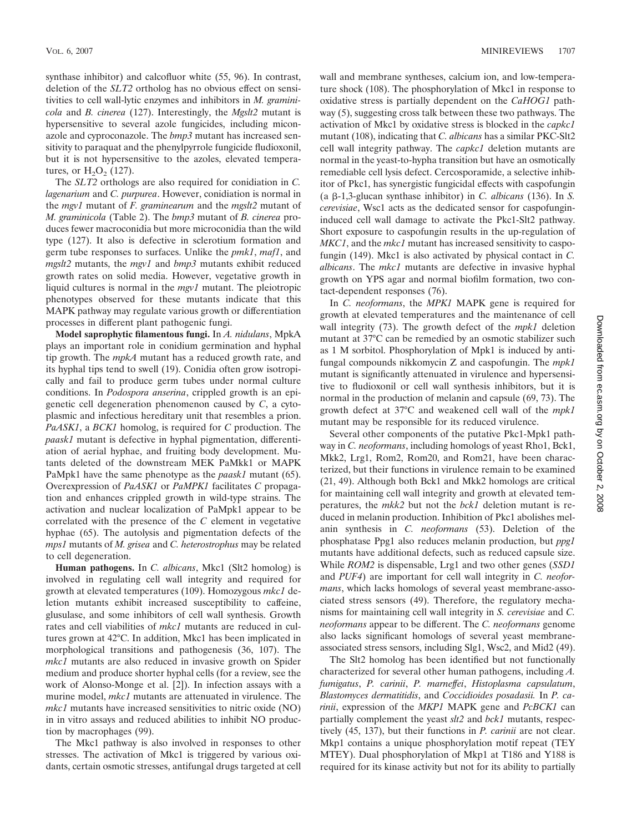synthase inhibitor) and calcofluor white (55, 96). In contrast, deletion of the *SLT2* ortholog has no obvious effect on sensitivities to cell wall-lytic enzymes and inhibitors in *M. graminicola* and *B. cinerea* (127). Interestingly, the *Mgslt2* mutant is hypersensitive to several azole fungicides, including miconazole and cyproconazole. The *bmp3* mutant has increased sensitivity to paraquat and the phenylpyrrole fungicide fludioxonil, but it is not hypersensitive to the azoles, elevated temperatures, or  $H_2O_2$  (127).

The *SLT2* orthologs are also required for conidiation in *C. lagenarium* and *C. purpurea*. However, conidiation is normal in the *mgv1* mutant of *F. graminearum* and the *mgslt2* mutant of *M. graminicola* (Table 2). The *bmp3* mutant of *B. cinerea* produces fewer macroconidia but more microconidia than the wild type (127). It also is defective in sclerotium formation and germ tube responses to surfaces. Unlike the *pmk1*, *maf1*, and *mgslt2* mutants, the *mgv1* and *bmp3* mutants exhibit reduced growth rates on solid media. However, vegetative growth in liquid cultures is normal in the *mgv1* mutant. The pleiotropic phenotypes observed for these mutants indicate that this MAPK pathway may regulate various growth or differentiation processes in different plant pathogenic fungi.

**Model saprophytic filamentous fungi.** In *A. nidulans*, MpkA plays an important role in conidium germination and hyphal tip growth. The *mpkA* mutant has a reduced growth rate, and its hyphal tips tend to swell (19). Conidia often grow isotropically and fail to produce germ tubes under normal culture conditions. In *Podospora anserina*, crippled growth is an epigenetic cell degeneration phenomenon caused by *C*, a cytoplasmic and infectious hereditary unit that resembles a prion. *PaASK1*, a *BCK1* homolog, is required for *C* production. The *paask1* mutant is defective in hyphal pigmentation, differentiation of aerial hyphae, and fruiting body development. Mutants deleted of the downstream MEK PaMkk1 or MAPK PaMpk1 have the same phenotype as the *paask1* mutant (65). Overexpression of *PaASK1* or *PaMPK1* facilitates *C* propagation and enhances crippled growth in wild-type strains. The activation and nuclear localization of PaMpk1 appear to be correlated with the presence of the *C* element in vegetative hyphae (65). The autolysis and pigmentation defects of the *mps1* mutants of *M. grisea* and *C. heterostrophus* may be related to cell degeneration.

**Human pathogens.** In *C. albicans*, Mkc1 (Slt2 homolog) is involved in regulating cell wall integrity and required for growth at elevated temperatures (109). Homozygous *mkc1* deletion mutants exhibit increased susceptibility to caffeine, glusulase, and some inhibitors of cell wall synthesis. Growth rates and cell viabilities of *mkc1* mutants are reduced in cultures grown at 42°C. In addition, Mkc1 has been implicated in morphological transitions and pathogenesis (36, 107). The *mkc1* mutants are also reduced in invasive growth on Spider medium and produce shorter hyphal cells (for a review, see the work of Alonso-Monge et al. [2]). In infection assays with a murine model, *mkc1* mutants are attenuated in virulence. The *mkc1* mutants have increased sensitivities to nitric oxide (NO) in in vitro assays and reduced abilities to inhibit NO production by macrophages (99).

The Mkc1 pathway is also involved in responses to other stresses. The activation of Mkc1 is triggered by various oxidants, certain osmotic stresses, antifungal drugs targeted at cell wall and membrane syntheses, calcium ion, and low-temperature shock (108). The phosphorylation of Mkc1 in response to oxidative stress is partially dependent on the *CaHOG1* pathway (5), suggesting cross talk between these two pathways. The activation of Mkc1 by oxidative stress is blocked in the *capkc1* mutant (108), indicating that *C. albicans* has a similar PKC-Slt2 cell wall integrity pathway. The *capkc1* deletion mutants are normal in the yeast-to-hypha transition but have an osmotically remediable cell lysis defect. Cercosporamide, a selective inhibitor of Pkc1, has synergistic fungicidal effects with caspofungin (a β-1,3-glucan synthase inhibitor) in *C. albicans* (136). In *S. cerevisiae*, Wsc1 acts as the dedicated sensor for caspofungininduced cell wall damage to activate the Pkc1-Slt2 pathway. Short exposure to caspofungin results in the up-regulation of *MKC1*, and the *mkc1* mutant has increased sensitivity to caspofungin (149). Mkc1 is also activated by physical contact in *C. albicans*. The *mkc1* mutants are defective in invasive hyphal growth on YPS agar and normal biofilm formation, two contact-dependent responses (76).

In *C. neoformans*, the *MPK1* MAPK gene is required for growth at elevated temperatures and the maintenance of cell wall integrity (73). The growth defect of the *mpk1* deletion mutant at 37°C can be remedied by an osmotic stabilizer such as 1 M sorbitol. Phosphorylation of Mpk1 is induced by antifungal compounds nikkomycin Z and caspofungin. The *mpk1* mutant is significantly attenuated in virulence and hypersensitive to fludioxonil or cell wall synthesis inhibitors, but it is normal in the production of melanin and capsule (69, 73). The growth defect at 37°C and weakened cell wall of the *mpk1* mutant may be responsible for its reduced virulence.

Several other components of the putative Pkc1-Mpk1 pathway in *C. neoformans*, including homologs of yeast Rho1, Bck1, Mkk2, Lrg1, Rom2, Rom20, and Rom21, have been characterized, but their functions in virulence remain to be examined (21, 49). Although both Bck1 and Mkk2 homologs are critical for maintaining cell wall integrity and growth at elevated temperatures, the *mkk2* but not the *bck1* deletion mutant is reduced in melanin production. Inhibition of Pkc1 abolishes melanin synthesis in *C. neoformans* (53). Deletion of the phosphatase Ppg1 also reduces melanin production, but *ppg1* mutants have additional defects, such as reduced capsule size. While *ROM2* is dispensable, Lrg1 and two other genes (*SSD1* and *PUF4*) are important for cell wall integrity in *C. neoformans*, which lacks homologs of several yeast membrane-associated stress sensors (49). Therefore, the regulatory mechanisms for maintaining cell wall integrity in *S. cerevisiae* and *C. neoformans* appear to be different. The *C. neoformans* genome also lacks significant homologs of several yeast membraneassociated stress sensors, including Slg1, Wsc2, and Mid2 (49).

The Slt2 homolog has been identified but not functionally characterized for several other human pathogens, including *A. fumigatus*, *P. carinii*, *P. marneffei*, *Histoplasma capsulatum*, *Blastomyces dermatitidis*, and *Coccidioides posadasii.* In *P. carinii*, expression of the *MKP1* MAPK gene and *PcBCK1* can partially complement the yeast *slt2* and *bck1* mutants, respectively (45, 137), but their functions in *P. carinii* are not clear. Mkp1 contains a unique phosphorylation motif repeat (TEY MTEY). Dual phosphorylation of Mkp1 at T186 and Y188 is required for its kinase activity but not for its ability to partially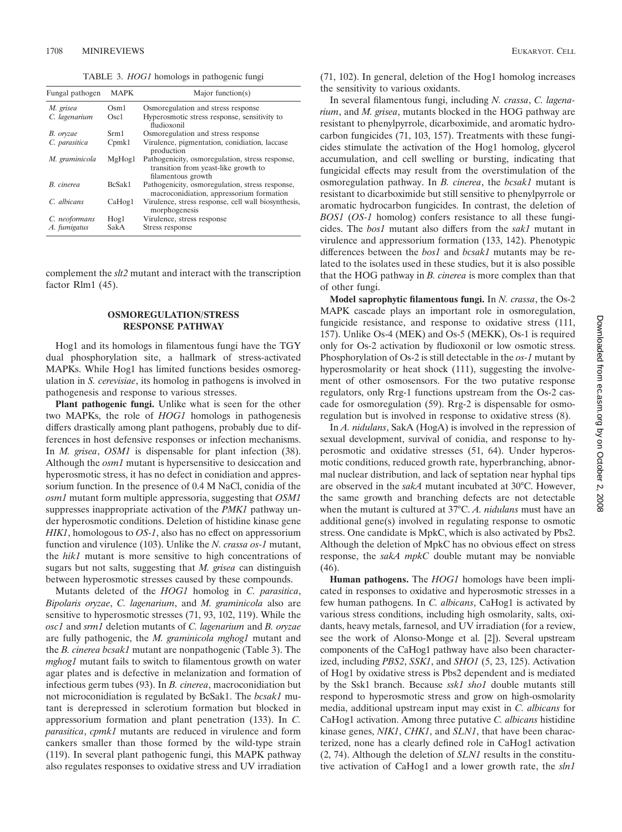TABLE 3. *HOG1* homologs in pathogenic fungi

| Fungal pathogen | <b>MAPK</b> | Major function(s)                                                                                             |
|-----------------|-------------|---------------------------------------------------------------------------------------------------------------|
| M. grisea       | Osm1        | Osmoregulation and stress response                                                                            |
| C. lagenarium   | Osc1        | Hyperosmotic stress response, sensitivity to<br>fludioxonil                                                   |
| B. oryzae       | Srm1        | Osmoregulation and stress response                                                                            |
| C. parasitica   | Cpmk1       | Virulence, pigmentation, conidiation, laccase<br>production                                                   |
| M. graminicola  | MgHog1      | Pathogenicity, osmoregulation, stress response,<br>transition from yeast-like growth to<br>filamentous growth |
| B. cinerea      | BcSak1      | Pathogenicity, osmoregulation, stress response,<br>macroconidiation, appressorium formation                   |
| C. albicans     | CaHog1      | Virulence, stress response, cell wall biosynthesis,<br>morphogenesis                                          |
| C. neoformans   | Hog1        | Virulence, stress response                                                                                    |
| A. fumigatus    | SakA        | Stress response                                                                                               |

complement the *slt2* mutant and interact with the transcription factor Rlm1 (45).

## **OSMOREGULATION/STRESS RESPONSE PATHWAY**

Hog1 and its homologs in filamentous fungi have the TGY dual phosphorylation site, a hallmark of stress-activated MAPKs. While Hog1 has limited functions besides osmoregulation in *S. cerevisiae*, its homolog in pathogens is involved in pathogenesis and response to various stresses.

**Plant pathogenic fungi.** Unlike what is seen for the other two MAPKs, the role of *HOG1* homologs in pathogenesis differs drastically among plant pathogens, probably due to differences in host defensive responses or infection mechanisms. In *M. grisea*, *OSM1* is dispensable for plant infection (38). Although the *osm1* mutant is hypersensitive to desiccation and hyperosmotic stress, it has no defect in conidiation and appressorium function. In the presence of 0.4 M NaCl, conidia of the *osm1* mutant form multiple appressoria, suggesting that *OSM1* suppresses inappropriate activation of the *PMK1* pathway under hyperosmotic conditions. Deletion of histidine kinase gene *HIK1*, homologous to *OS-1*, also has no effect on appressorium function and virulence (103). Unlike the *N. crassa os-1* mutant, the *hik1* mutant is more sensitive to high concentrations of sugars but not salts, suggesting that *M. grisea* can distinguish between hyperosmotic stresses caused by these compounds.

Mutants deleted of the *HOG1* homolog in *C. parasitica*, *Bipolaris oryzae*, *C. lagenarium*, and *M. graminicola* also are sensitive to hyperosmotic stresses (71, 93, 102, 119). While the *osc1* and *srm1* deletion mutants of *C. lagenarium* and *B. oryzae* are fully pathogenic, the *M. graminicola mghog1* mutant and the *B. cinerea bcsak1* mutant are nonpathogenic (Table 3). The *mghog1* mutant fails to switch to filamentous growth on water agar plates and is defective in melanization and formation of infectious germ tubes (93). In *B. cinerea*, macroconidiation but not microconidiation is regulated by BcSak1. The *bcsak1* mutant is derepressed in sclerotium formation but blocked in appressorium formation and plant penetration (133). In *C. parasitica*, *cpmk1* mutants are reduced in virulence and form cankers smaller than those formed by the wild-type strain (119). In several plant pathogenic fungi, this MAPK pathway also regulates responses to oxidative stress and UV irradiation (71, 102). In general, deletion of the Hog1 homolog increases the sensitivity to various oxidants.

In several filamentous fungi, including *N. crassa*, *C. lagenarium*, and *M. grisea*, mutants blocked in the HOG pathway are resistant to phenylpyrrole, dicarboximide, and aromatic hydrocarbon fungicides (71, 103, 157). Treatments with these fungicides stimulate the activation of the Hog1 homolog, glycerol accumulation, and cell swelling or bursting, indicating that fungicidal effects may result from the overstimulation of the osmoregulation pathway. In *B. cinerea*, the *bcsak1* mutant is resistant to dicarboximide but still sensitive to phenylpyrrole or aromatic hydrocarbon fungicides. In contrast, the deletion of *BOS1* (*OS-1* homolog) confers resistance to all these fungicides. The *bos1* mutant also differs from the *sak1* mutant in virulence and appressorium formation (133, 142). Phenotypic differences between the *bos1* and *bcsak1* mutants may be related to the isolates used in these studies, but it is also possible that the HOG pathway in *B. cinerea* is more complex than that of other fungi.

**Model saprophytic filamentous fungi.** In *N. crassa*, the Os-2 MAPK cascade plays an important role in osmoregulation, fungicide resistance, and response to oxidative stress (111, 157). Unlike Os-4 (MEK) and Os-5 (MEKK), Os-1 is required only for Os-2 activation by fludioxonil or low osmotic stress. Phosphorylation of Os-2 is still detectable in the *os-1* mutant by hyperosmolarity or heat shock (111), suggesting the involvement of other osmosensors. For the two putative response regulators, only Rrg-1 functions upstream from the Os-2 cascade for osmoregulation (59). Rrg-2 is dispensable for osmoregulation but is involved in response to oxidative stress (8).

In *A. nidulans*, SakA (HogA) is involved in the repression of sexual development, survival of conidia, and response to hyperosmotic and oxidative stresses (51, 64). Under hyperosmotic conditions, reduced growth rate, hyperbranching, abnormal nuclear distribution, and lack of septation near hyphal tips are observed in the *sakA* mutant incubated at 30°C. However, the same growth and branching defects are not detectable when the mutant is cultured at 37°C. *A. nidulans* must have an additional gene(s) involved in regulating response to osmotic stress. One candidate is MpkC, which is also activated by Pbs2. Although the deletion of MpkC has no obvious effect on stress response, the *sakA mpkC* double mutant may be nonviable (46).

**Human pathogens.** The *HOG1* homologs have been implicated in responses to oxidative and hyperosmotic stresses in a few human pathogens. In *C. albicans*, CaHog1 is activated by various stress conditions, including high osmolarity, salts, oxidants, heavy metals, farnesol, and UV irradiation (for a review, see the work of Alonso-Monge et al. [2]). Several upstream components of the CaHog1 pathway have also been characterized, including *PBS2*, *SSK1*, and *SHO1* (5, 23, 125). Activation of Hog1 by oxidative stress is Pbs2 dependent and is mediated by the Ssk1 branch. Because *ssk1 sho1* double mutants still respond to hyperosmotic stress and grow on high-osmolarity media, additional upstream input may exist in *C. albicans* for CaHog1 activation. Among three putative *C. albicans* histidine kinase genes, *NIK1*, *CHK1*, and *SLN1*, that have been characterized, none has a clearly defined role in CaHog1 activation (2, 74). Although the deletion of *SLN1* results in the constitutive activation of CaHog1 and a lower growth rate, the *sln1*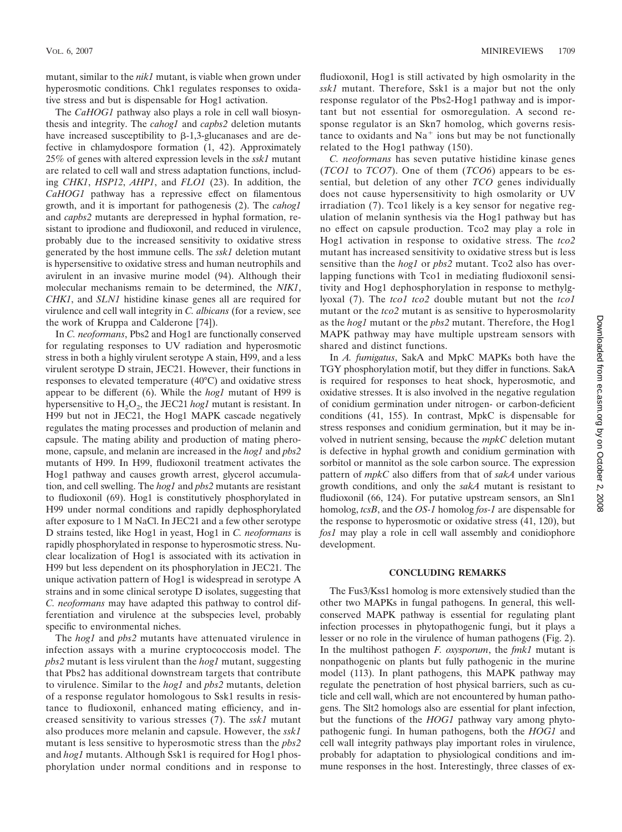mutant, similar to the *nik1* mutant, is viable when grown under hyperosmotic conditions. Chk1 regulates responses to oxidative stress and but is dispensable for Hog1 activation.

The *CaHOG1* pathway also plays a role in cell wall biosynthesis and integrity. The *cahog1* and *capbs2* deletion mutants have increased susceptibility to  $\beta$ -1,3-glucanases and are defective in chlamydospore formation (1, 42). Approximately 25% of genes with altered expression levels in the *ssk1* mutant are related to cell wall and stress adaptation functions, including *CHK1*, *HSP12*, *AHP1*, and *FLO1* (23). In addition, the *CaHOG1* pathway has a repressive effect on filamentous growth, and it is important for pathogenesis (2). The *cahog1* and *capbs2* mutants are derepressed in hyphal formation, resistant to iprodione and fludioxonil, and reduced in virulence, probably due to the increased sensitivity to oxidative stress generated by the host immune cells. The *ssk1* deletion mutant is hypersensitive to oxidative stress and human neutrophils and avirulent in an invasive murine model (94). Although their molecular mechanisms remain to be determined, the *NIK1*, *CHK1*, and *SLN1* histidine kinase genes all are required for virulence and cell wall integrity in *C. albicans* (for a review, see the work of Kruppa and Calderone [74]).

In *C. neoformans*, Pbs2 and Hog1 are functionally conserved for regulating responses to UV radiation and hyperosmotic stress in both a highly virulent serotype A stain, H99, and a less virulent serotype D strain, JEC21. However, their functions in responses to elevated temperature (40°C) and oxidative stress appear to be different (6). While the *hog1* mutant of H99 is hypersensitive to  $H_2O_2$ , the JEC21 *hog1* mutant is resistant. In H99 but not in JEC21, the Hog1 MAPK cascade negatively regulates the mating processes and production of melanin and capsule. The mating ability and production of mating pheromone, capsule, and melanin are increased in the *hog1* and *pbs2* mutants of H99. In H99, fludioxonil treatment activates the Hog1 pathway and causes growth arrest, glycerol accumulation, and cell swelling. The *hog1* and *pbs2* mutants are resistant to fludioxonil (69). Hog1 is constitutively phosphorylated in H99 under normal conditions and rapidly dephosphorylated after exposure to 1 M NaCl. In JEC21 and a few other serotype D strains tested, like Hog1 in yeast, Hog1 in *C. neoformans* is rapidly phosphorylated in response to hyperosmotic stress. Nuclear localization of Hog1 is associated with its activation in H99 but less dependent on its phosphorylation in JEC21. The unique activation pattern of Hog1 is widespread in serotype A strains and in some clinical serotype D isolates, suggesting that *C. neoformans* may have adapted this pathway to control differentiation and virulence at the subspecies level, probably specific to environmental niches.

The *hog1* and *pbs2* mutants have attenuated virulence in infection assays with a murine cryptococcosis model. The *pbs2* mutant is less virulent than the *hog1* mutant, suggesting that Pbs2 has additional downstream targets that contribute to virulence. Similar to the *hog1* and *pbs2* mutants, deletion of a response regulator homologous to Ssk1 results in resistance to fludioxonil, enhanced mating efficiency, and increased sensitivity to various stresses (7). The *ssk1* mutant also produces more melanin and capsule. However, the *ssk1* mutant is less sensitive to hyperosmotic stress than the *pbs2* and *hog1* mutants. Although Ssk1 is required for Hog1 phosphorylation under normal conditions and in response to

fludioxonil, Hog1 is still activated by high osmolarity in the *ssk1* mutant. Therefore, Ssk1 is a major but not the only response regulator of the Pbs2-Hog1 pathway and is important but not essential for osmoregulation. A second response regulator is an Skn7 homolog, which governs resistance to oxidants and  $Na<sup>+</sup>$  ions but may be not functionally related to the Hog1 pathway (150).

*C. neoformans* has seven putative histidine kinase genes (*TCO1* to *TCO7*). One of them (*TCO6*) appears to be essential, but deletion of any other *TCO* genes individually does not cause hypersensitivity to high osmolarity or UV irradiation (7). Tco1 likely is a key sensor for negative regulation of melanin synthesis via the Hog1 pathway but has no effect on capsule production. Tco2 may play a role in Hog1 activation in response to oxidative stress. The *tco2* mutant has increased sensitivity to oxidative stress but is less sensitive than the *hog1* or *pbs2* mutant. Tco2 also has overlapping functions with Tco1 in mediating fludioxonil sensitivity and Hog1 dephosphorylation in response to methylglyoxal (7). The *tco1 tco2* double mutant but not the *tco1* mutant or the *tco2* mutant is as sensitive to hyperosmolarity as the *hog1* mutant or the *pbs2* mutant. Therefore, the Hog1 MAPK pathway may have multiple upstream sensors with shared and distinct functions.

In *A. fumigatus*, SakA and MpkC MAPKs both have the TGY phosphorylation motif, but they differ in functions. SakA is required for responses to heat shock, hyperosmotic, and oxidative stresses. It is also involved in the negative regulation of conidium germination under nitrogen- or carbon-deficient conditions (41, 155). In contrast, MpkC is dispensable for stress responses and conidium germination, but it may be involved in nutrient sensing, because the *mpkC* deletion mutant is defective in hyphal growth and conidium germination with sorbitol or mannitol as the sole carbon source. The expression pattern of *mpkC* also differs from that of *sakA* under various growth conditions, and only the *sakA* mutant is resistant to fludioxonil (66, 124). For putative upstream sensors, an Sln1 homolog, *tcsB*, and the *OS-1* homolog *fos-1* are dispensable for the response to hyperosmotic or oxidative stress (41, 120), but *fos1* may play a role in cell wall assembly and conidiophore development.

#### **CONCLUDING REMARKS**

The Fus3/Kss1 homolog is more extensively studied than the other two MAPKs in fungal pathogens. In general, this wellconserved MAPK pathway is essential for regulating plant infection processes in phytopathogenic fungi, but it plays a lesser or no role in the virulence of human pathogens (Fig. 2). In the multihost pathogen *F. oxysporum*, the *fmk1* mutant is nonpathogenic on plants but fully pathogenic in the murine model (113). In plant pathogens, this MAPK pathway may regulate the penetration of host physical barriers, such as cuticle and cell wall, which are not encountered by human pathogens. The Slt2 homologs also are essential for plant infection, but the functions of the *HOG1* pathway vary among phytopathogenic fungi. In human pathogens, both the *HOG1* and cell wall integrity pathways play important roles in virulence, probably for adaptation to physiological conditions and immune responses in the host. Interestingly, three classes of ex-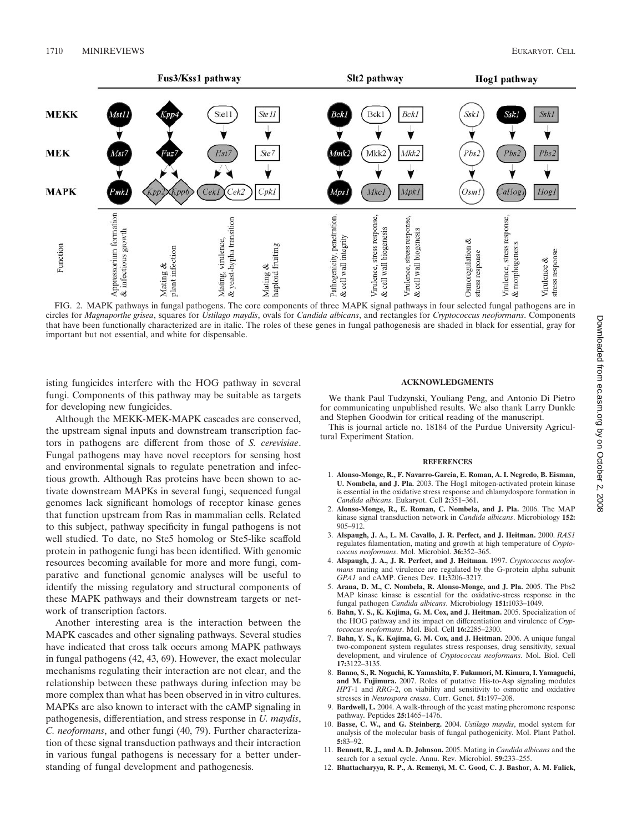

FIG. 2. MAPK pathways in fungal pathogens. The core components of three MAPK signal pathways in four selected fungal pathogens are in circles for *Magnaporthe grisea*, squares for *Ustilago maydis*, ovals for *Candida albicans*, and rectangles for *Cryptococcus neoformans*. Components that have been functionally characterized are in italic. The roles of these genes in fungal pathogenesis are shaded in black for essential, gray for important but not essential, and white for dispensable.

isting fungicides interfere with the HOG pathway in several fungi. Components of this pathway may be suitable as targets for developing new fungicides.

Although the MEKK-MEK-MAPK cascades are conserved, the upstream signal inputs and downstream transcription factors in pathogens are different from those of *S. cerevisiae*. Fungal pathogens may have novel receptors for sensing host and environmental signals to regulate penetration and infectious growth. Although Ras proteins have been shown to activate downstream MAPKs in several fungi, sequenced fungal genomes lack significant homologs of receptor kinase genes that function upstream from Ras in mammalian cells. Related to this subject, pathway specificity in fungal pathogens is not well studied. To date, no Ste5 homolog or Ste5-like scaffold protein in pathogenic fungi has been identified. With genomic resources becoming available for more and more fungi, comparative and functional genomic analyses will be useful to identify the missing regulatory and structural components of these MAPK pathways and their downstream targets or network of transcription factors.

Another interesting area is the interaction between the MAPK cascades and other signaling pathways. Several studies have indicated that cross talk occurs among MAPK pathways in fungal pathogens (42, 43, 69). However, the exact molecular mechanisms regulating their interaction are not clear, and the relationship between these pathways during infection may be more complex than what has been observed in in vitro cultures. MAPKs are also known to interact with the cAMP signaling in pathogenesis, differentiation, and stress response in *U. maydis*, *C. neoformans*, and other fungi (40, 79). Further characterization of these signal transduction pathways and their interaction in various fungal pathogens is necessary for a better understanding of fungal development and pathogenesis.

#### **ACKNOWLEDGMENTS**

We thank Paul Tudzynski, Youliang Peng, and Antonio Di Pietro for communicating unpublished results. We also thank Larry Dunkle and Stephen Goodwin for critical reading of the manuscript.

This is journal article no. 18184 of the Purdue University Agricultural Experiment Station.

#### **REFERENCES**

- 1. **Alonso-Monge, R., F. Navarro-Garcia, E. Roman, A. I. Negredo, B. Eisman, U. Nombela, and J. Pla.** 2003. The Hog1 mitogen-activated protein kinase is essential in the oxidative stress response and chlamydospore formation in *Candida albicans*. Eukaryot. Cell **2:**351–361.
- 2. **Alonso-Monge, R., E. Roman, C. Nombela, and J. Pla.** 2006. The MAP kinase signal transduction network in *Candida albicans*. Microbiology **152:** 905–912.
- 3. **Alspaugh, J. A., L. M. Cavallo, J. R. Perfect, and J. Heitman.** 2000. *RAS1* regulates filamentation, mating and growth at high temperature of *Cryptococcus neoformans*. Mol. Microbiol. **36:**352–365.
- 4. **Alspaugh, J. A., J. R. Perfect, and J. Heitman.** 1997. *Cryptococcus neoformans* mating and virulence are regulated by the G-protein alpha subunit *GPA1* and cAMP. Genes Dev. **11:**3206–3217.
- 5. **Arana, D. M., C. Nombela, R. Alonso-Monge, and J. Pla.** 2005. The Pbs2 MAP kinase kinase is essential for the oxidative-stress response in the fungal pathogen *Candida albicans*. Microbiology **151:**1033–1049.
- 6. **Bahn, Y. S., K. Kojima, G. M. Cox, and J. Heitman.** 2005. Specialization of the HOG pathway and its impact on differentiation and virulence of *Cryptococcus neoformans*. Mol. Biol. Cell **16:**2285–2300.
- 7. **Bahn, Y. S., K. Kojima, G. M. Cox, and J. Heitman.** 2006. A unique fungal two-component system regulates stress responses, drug sensitivity, sexual development, and virulence of *Cryptococcus neoformans*. Mol. Biol. Cell **17:**3122–3135.
- 8. **Banno, S., R. Noguchi, K. Yamashita, F. Fukumori, M. Kimura, I. Yamaguchi, and M. Fujimura.** 2007. Roles of putative His-to-Asp signaling modules *HPT-*1 and *RRG-*2, on viability and sensitivity to osmotic and oxidative stresses in *Neurospora crassa*. Curr. Genet. **51:**197–208.
- 9. **Bardwell, L.** 2004. A walk-through of the yeast mating pheromone response pathway. Peptides **25:**1465–1476.
- 10. **Basse, C. W., and G. Steinberg.** 2004. *Ustilago maydis*, model system for analysis of the molecular basis of fungal pathogenicity. Mol. Plant Pathol. **5:**83–92.
- 11. **Bennett, R. J., and A. D. Johnson.** 2005. Mating in *Candida albicans* and the search for a sexual cycle. Annu. Rev. Microbiol. **59:**233–255.
- 12. **Bhattacharyya, R. P., A. Remenyi, M. C. Good, C. J. Bashor, A. M. Falick,**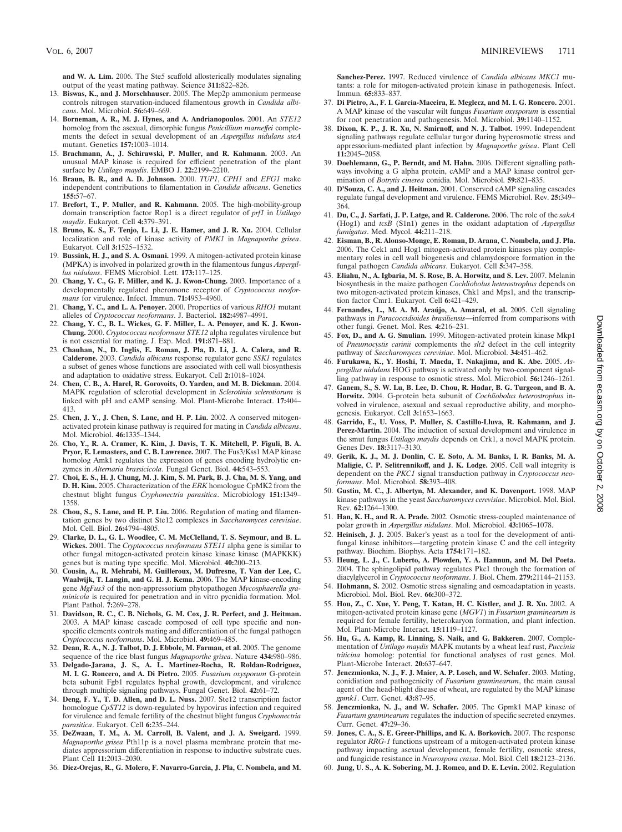**and W. A. Lim.** 2006. The Ste5 scaffold allosterically modulates signaling output of the yeast mating pathway. Science **311:**822–826.

- 13. **Biswas, K., and J. Morschhauser.** 2005. The Mep2p ammonium permease controls nitrogen starvation-induced filamentous growth in *Candida albicans*. Mol. Microbiol. **56:**649–669.
- 14. **Borneman, A. R., M. J. Hynes, and A. Andrianopoulos.** 2001. An *STE12* homolog from the asexual, dimorphic fungus *Penicillium marneffei* complements the defect in sexual development of an *Aspergillus nidulans steA* mutant. Genetics **157:**1003–1014.
- 15. **Brachmann, A., J. Schirawski, P. Muller, and R. Kahmann.** 2003. An unusual MAP kinase is required for efficient penetration of the plant surface by *Ustilago maydis*. EMBO J. **22:**2199–2210.
- 16. **Braun, B. R., and A. D. Johnson.** 2000. *TUP1*, *CPH1* and *EFG1* make independent contributions to filamentation in *Candida albicans*. Genetics **155:**57–67.
- 17. **Brefort, T., P. Muller, and R. Kahmann.** 2005. The high-mobility-group domain transcription factor Rop1 is a direct regulator of *prf1* in *Ustilago maydis*. Eukaryot. Cell **4:**379–391.
- 18. **Bruno, K. S., F. Tenjo, L. Li, J. E. Hamer, and J. R. Xu.** 2004. Cellular localization and role of kinase activity of *PMK1* in *Magnaporthe grisea*. Eukaryot. Cell **3:**1525–1532.
- 19. **Bussink, H. J., and S. A. Osmani.** 1999. A mitogen-activated protein kinase (MPKA) is involved in polarized growth in the filamentous fungus *Aspergillus nidulans*. FEMS Microbiol. Lett. **173:**117–125.
- 20. **Chang, Y. C., G. F. Miller, and K. J. Kwon-Chung.** 2003. Importance of a developmentally regulated pheromone receptor of *Cryptococcus neoformans* for virulence. Infect. Immun. **71:**4953–4960.
- 21. **Chang, Y. C., and L. A. Penoyer.** 2000. Properties of various *RHO1* mutant alleles of *Cryptococcus neoformans*. J. Bacteriol. **182:**4987–4991.
- 22. **Chang, Y. C., B. L. Wickes, G. F. Miller, L. A. Penoyer, and K. J. Kwon-Chung.** 2000. *Cryptococcus neoformans STE12* alpha regulates virulence but is not essential for mating. J. Exp. Med. **191:**871–881.
- 23. **Chauhan, N., D. Inglis, E. Roman, J. Pla, D. Li, J. A. Calera, and R. Calderone.** 2003. *Candida albicans* response regulator gene *SSK1* regulates a subset of genes whose functions are associated with cell wall biosynthesis and adaptation to oxidative stress. Eukaryot. Cell **2:**1018–1024.
- 24. **Chen, C. B., A. Harel, R. Gorovoits, O. Yarden, and M. B. Dickman.** 2004. MAPK regulation of sclerotial development in *Sclerotinia sclerotiorum* is linked with pH and cAMP sensing. Mol. Plant-Microbe Interact. **17:**404– 413.
- 25. **Chen, J. Y., J. Chen, S. Lane, and H. P. Liu.** 2002. A conserved mitogenactivated protein kinase pathway is required for mating in *Candida albicans*. Mol. Microbiol. **46:**1335–1344.
- 26. **Cho, Y., R. A. Cramer, K. Kim, J. Davis, T. K. Mitchell, P. Figuli, B. A. Pryor, E. Lemasters, and C. B. Lawrence.** 2007. The Fus3/Kss1 MAP kinase homolog Amk1 regulates the expression of genes encoding hydrolytic enzymes in *Alternaria brassicicola*. Fungal Genet. Biol. **44:**543–553.
- 27. **Choi, E. S., H. J. Chung, M. J. Kim, S. M. Park, B. J. Cha, M. S. Yang, and D. H. Kim.** 2005. Characterization of the *ERK* homologue CpMK2 from the chestnut blight fungus *Cryphonectria parasitica*. Microbiology **151:**1349– 1358.
- 28. **Chou, S., S. Lane, and H. P. Liu.** 2006. Regulation of mating and filamentation genes by two distinct Ste12 complexes in *Saccharomyces cerevisiae*. Mol. Cell. Biol. **26:**4794–4805.
- 29. **Clarke, D. L., G. L. Woodlee, C. M. McClelland, T. S. Seymour, and B. L. Wickes.** 2001. The *Cryptococcus neoformans STE11* alpha gene is similar to other fungal mitogen-activated protein kinase kinase kinase (MAPKKK) genes but is mating type specific. Mol. Microbiol. **40:**200–213.
- 30. **Cousin, A., R. Mehrabi, M. Guilleroux, M. Dufresne, T. Van der Lee, C. Waalwijk, T. Langin, and G. H. J. Kema.** 2006. The MAP kinase-encoding gene *MgFus3* of the non-appressorium phytopathogen *Mycosphaerella graminicola* is required for penetration and in vitro pycnidia formation. Mol. Plant Pathol. **7:**269–278.
- 31. **Davidson, R. C., C. B. Nichols, G. M. Cox, J. R. Perfect, and J. Heitman.** 2003. A MAP kinase cascade composed of cell type specific and nonspecific elements controls mating and differentiation of the fungal pathogen *Cryptococcus neoformans*. Mol. Microbiol. **49:**469–485.
- 32. **Dean, R. A., N. J. Talbot, D. J. Ebbole, M. Farman, et al.** 2005. The genome sequence of the rice blast fungus *Magnaporthe grisea*. Nature **434:**980–986.
- 33. **Delgado-Jarana, J. S., A. L. Martinez-Rocha, R. Roldan-Rodriguez, M. I. G. Roncero, and A. Di Pietro.** 2005. *Fusarium oxysporum* G-protein beta subunit Fgb1 regulates hyphal growth, development, and virulence through multiple signaling pathways. Fungal Genet. Biol. **42:**61–72.
- 34. **Deng, F. Y., T. D. Allen, and D. L. Nuss.** 2007. Ste12 transcription factor homologue *CpST12* is down-regulated by hypovirus infection and required for virulence and female fertility of the chestnut blight fungus *Cryphonectria parasitica*. Eukaryot. Cell **6:**235–244.
- 35. **DeZwaan, T. M., A. M. Carroll, B. Valent, and J. A. Sweigard.** 1999. *Magnaporthe grisea* Pth11p is a novel plasma membrane protein that mediates appressorium differentiation in response to inductive substrate cues. Plant Cell **11:**2013–2030.
- 36. **Diez-Orejas, R., G. Molero, F. Navarro-Garcia, J. Pla, C. Nombela, and M.**

**Sanchez-Perez.** 1997. Reduced virulence of *Candida albicans MKC1* mutants: a role for mitogen-activated protein kinase in pathogenesis. Infect. Immun. **65:**833–837.

- 37. **Di Pietro, A., F. I. Garcia-Maceira, E. Meglecz, and M. I. G. Roncero.** 2001. A MAP kinase of the vascular wilt fungus *Fusarium oxysporum* is essential for root penetration and pathogenesis. Mol. Microbiol. **39:**1140–1152.
- 38. **Dixon, K. P., J. R. Xu, N. Smirnoff, and N. J. Talbot.** 1999. Independent signaling pathways regulate cellular turgor during hyperosmotic stress and appressorium-mediated plant infection by *Magnaporthe grisea*. Plant Cell **11:**2045–2058.
- 39. **Doehlemann, G., P. Berndt, and M. Hahn.** 2006. Different signalling pathways involving a G alpha protein, cAMP and a MAP kinase control germination of *Botrytis cinerea* conidia. Mol. Microbiol. **59:**821–835.
- 40. **D'Souza, C. A., and J. Heitman.** 2001. Conserved cAMP signaling cascades regulate fungal development and virulence. FEMS Microbiol. Rev. **25:**349– 364.
- 41. **Du, C., J. Sarfati, J. P. Latge, and R. Calderone.** 2006. The role of the *sakA* (Hog1) and *tcsB* (S1n1) genes in the oxidant adaptation of *Aspergillus fumigatus*. Med. Mycol. **44:**211–218.
- 42. **Eisman, B., R. Alonso-Monge, E. Roman, D. Arana, C. Nombela, and J. Pla.** 2006. The Cek1 and Hog1 mitogen-activated protein kinases play complementary roles in cell wall biogenesis and chlamydospore formation in the fungal pathogen *Candida albicans*. Eukaryot. Cell **5:**347–358.
- 43. **Eliahu, N., A. Igbaria, M. S. Rose, B. A. Horwitz, and S. Lev.** 2007. Melanin biosynthesis in the maize pathogen *Cochliobolus heterostrophus* depends on two mitogen-activated protein kinases, Chk1 and Mps1, and the transcription factor Cmr1. Eukaryot. Cell **6:**421–429.
- 44. **Fernandes, L., M. A. M. Arau´jo, A. Amaral, et al.** 2005. Cell signaling pathways in *Paracoccidioides brasiliensis*—inferred from comparisons with other fungi. Genet. Mol. Res. **4:**216–231.
- 45. **Fox, D., and A. G. Smulian.** 1999. Mitogen-activated protein kinase Mkp1 of *Pneumocystis carinii* complements the *slt2* defect in the cell integrity pathway of *Saccharomyces cerevisiae*. Mol. Microbiol. **34:**451–462.
- 46. **Furukawa, K., Y. Hoshi, T. Maeda, T. Nakajima, and K. Abe.** 2005. *Aspergillus nidulans* HOG pathway is activated only by two-component signalling pathway in response to osmotic stress. Mol. Microbiol. **56:**1246–1261.
- 47. **Ganem, S., S. W. Lu, B. Lee, D. Chou, R. Hadar, B. G. Turgeon, and B. A. Horwitz.** 2004. G-protein beta subunit of *Cochliobolus heterostrophus* involved in virulence, asexual and sexual reproductive ability, and morphogenesis. Eukaryot. Cell **3:**1653–1663.
- 48. **Garrido, E., U. Voss, P. Muller, S. Castillo-Lluva, R. Kahmann, and J. Perez-Martin.** 2004. The induction of sexual development and virulence in the smut fungus *Ustilago maydis* depends on Crk1, a novel MAPK protein. Genes Dev. **18:**3117–3130.
- 49. **Gerik, K. J., M. J. Donlin, C. E. Soto, A. M. Banks, I. R. Banks, M. A. Maligie, C. P. Selitrennikoff, and J. K. Lodge.** 2005. Cell wall integrity is dependent on the *PKC1* signal transduction pathway in *Cryptococcus neoformans*. Mol. Microbiol. **58:**393–408.
- 50. **Gustin, M. C., J. Albertyn, M. Alexander, and K. Davenport.** 1998. MAP kinase pathways in the yeast *Saccharomyces cerevisiae*. Microbiol. Mol. Biol. Rev. **62:**1264–1300.
- 51. **Han, K. H., and R. A. Prade.** 2002. Osmotic stress-coupled maintenance of polar growth in *Aspergillus nidulans*. Mol. Microbiol. **43:**1065–1078.
- 52. **Heinisch, J. J.** 2005. Baker's yeast as a tool for the development of antifungal kinase inhibitors—targeting protein kinase C and the cell integrity pathway. Biochim. Biophys. Acta **1754:**171–182.
- 53. **Heung, L. J., C. Luberto, A. Plowden, Y. A. Hannun, and M. Del Poeta.** 2004. The sphingolipid pathway regulates Pkc1 through the formation of diacylglycerol in *Cryptococcus neoformans*. J. Biol. Chem. **279:**21144–21153.
- 54. **Hohmann, S.** 2002. Osmotic stress signaling and osmoadaptation in yeasts. Microbiol. Mol. Biol. Rev. **66:**300–372.
- 55. **Hou, Z., C. Xue, Y. Peng, T. Katan, H. C. Kistler, and J. R. Xu.** 2002. A mitogen-activated protein kinase gene (*MGV1*) in *Fusarium graminearum i*s required for female fertility, heterokaryon formation, and plant infection. Mol. Plant-Microbe Interact. **15:**1119–1127.
- 56. **Hu, G., A. Kamp, R. Linning, S. Naik, and G. Bakkeren.** 2007. Complementation of *Ustilago maydis* MAPK mutants by a wheat leaf rust, *Puccinia triticina* homolog: potential for functional analyses of rust genes. Mol. Plant-Microbe Interact. **20:**637–647.
- 57. **Jenczmionka, N. J., F. J. Maier, A. P. Losch, and W. Schafer.** 2003. Mating, conidiation and pathogenicity of *Fusarium graminearum*, the main causal agent of the head-blight disease of wheat, are regulated by the MAP kinase *gpmk1*. Curr. Genet. **43:**87–95.
- 58. **Jenczmionka, N. J., and W. Schafer.** 2005. The Gpmk1 MAP kinase of *Fusarium graminearum* regulates the induction of specific secreted enzymes. Curr. Genet. **47:**29–36.
- 59. **Jones, C. A., S. E. Greer-Phillips, and K. A. Borkovich.** 2007. The response regulator *RRG-1* functions upstream of a mitogen-activated protein kinase pathway impacting asexual development, female fertility, osmotic stress, and fungicide resistance in *Neurospora crassa*. Mol. Biol. Cell **18:**2123–2136.
- 60. **Jung, U. S., A. K. Sobering, M. J. Romeo, and D. E. Levin.** 2002. Regulation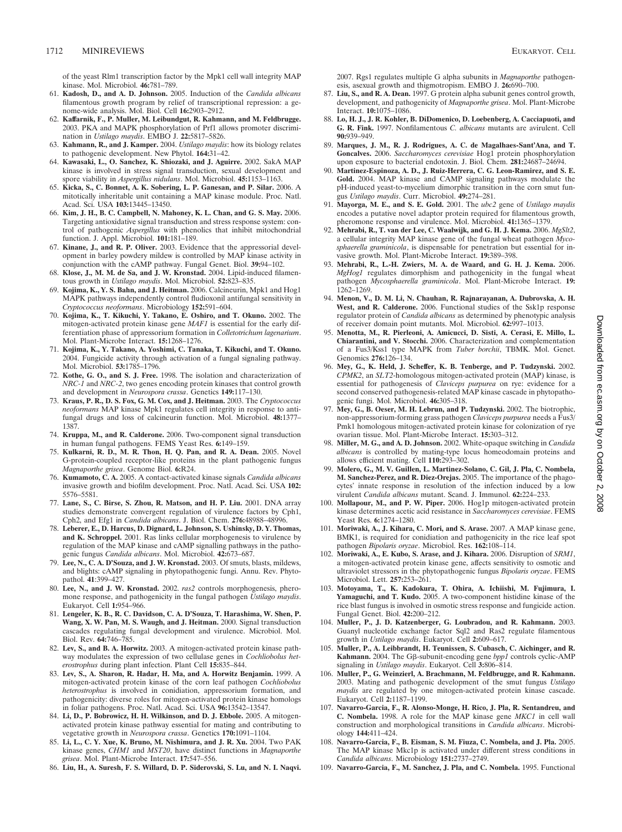of the yeast Rlm1 transcription factor by the Mpk1 cell wall integrity MAP kinase. Mol. Microbiol. **46:**781–789.

- 61. **Kadosh, D., and A. D. Johnson.** 2005. Induction of the *Candida albicans* filamentous growth program by relief of transcriptional repression: a genome-wide analysis. Mol. Biol. Cell **16:**2903–2912.
- 62. **Kaffarnik, F., P. Muller, M. Leibundgut, R. Kahmann, and M. Feldbrugge.** 2003. PKA and MAPK phosphorylation of Prf1 allows promoter discrimination in *Ustilago maydis*. EMBO J. **22:**5817–5826.
- 63. **Kahmann, R., and J. Kamper.** 2004. *Ustilago maydis*: how its biology relates to pathogenic development. New Phytol. **164:**31–42.
- 64. **Kawasaki, L., O. Sanchez, K. Shiozaki, and J. Aguirre.** 2002. SakA MAP kinase is involved in stress signal transduction, sexual development and spore viability in *Aspergillus nidulans*. Mol. Microbiol. **45:**1153–1163.
- 65. **Kicka, S., C. Bonnet, A. K. Sobering, L. P. Ganesan, and P. Silar.** 2006. A mitotically inheritable unit containing a MAP kinase module. Proc. Natl. Acad. Sci. USA **103:**13445–13450.
- 66. **Kim, J. H., B. C. Campbell, N. Mahoney, K. L. Chan, and G. S. May.** 2006. Targeting antioxidative signal transduction and stress response system: control of pathogenic *Aspergillus* with phenolics that inhibit mitochondrial function. J. Appl. Microbiol. **101:**181–189.
- 67. **Kinane, J., and R. P. Oliver.** 2003. Evidence that the appressorial development in barley powdery mildew is controlled by MAP kinase activity in conjunction with the cAMP pathway. Fungal Genet. Biol. **39:**94–102.
- Klose, J., M. M. de Sa, and J. W. Kronstad. 2004. Lipid-induced filamentous growth in *Ustilago maydis*. Mol. Microbiol. **52:**823–835.
- 69. **Kojima, K., Y. S. Bahn, and J. Heitman.** 2006. Calcineurin, Mpk1 and Hog1 MAPK pathways independently control fludioxonil antifungal sensitivity in *Cryptococcus neoformans*. Microbiology **152:**591–604.
- 70. **Kojima, K., T. Kikuchi, Y. Takano, E. Oshiro, and T. Okuno.** 2002. The mitogen-activated protein kinase gene *MAF1* is essential for the early differentiation phase of appressorium formation in *Colletotrichum lagenarium*. Mol. Plant-Microbe Interact. **15:**1268–1276.
- 71. **Kojima, K., Y. Takano, A. Yoshimi, C. Tanaka, T. Kikuchi, and T. Okuno.** 2004. Fungicide activity through activation of a fungal signaling pathway. Mol. Microbiol. **53:**1785–1796.
- 72. **Kothe, G. O., and S. J. Free.** 1998. The isolation and characterization of *NRC-1* and *NRC-2*, two genes encoding protein kinases that control growth and development in *Neurospora crassa*. Genetics **149:**117–130.
- 73. **Kraus, P. R., D. S. Fox, G. M. Cox, and J. Heitman.** 2003. The *Cryptococcus neoformans* MAP kinase Mpk1 regulates cell integrity in response to antifungal drugs and loss of calcineurin function. Mol. Microbiol. **48:**1377– 1387.
- 74. **Kruppa, M., and R. Calderone.** 2006. Two-component signal transduction in human fungal pathogens. FEMS Yeast Res. **6:**149–159.
- 75. **Kulkarni, R. D., M. R. Thon, H. Q. Pan, and R. A. Dean.** 2005. Novel G-protein-coupled receptor-like proteins in the plant pathogenic fungus *Magnaporthe grisea*. Genome Biol. **6:**R24.
- 76. **Kumamoto, C. A.** 2005. A contact-activated kinase signals *Candida albicans* invasive growth and biofilm development. Proc. Natl. Acad. Sci. USA **102:** 5576–5581.
- 77. **Lane, S., C. Birse, S. Zhou, R. Matson, and H. P. Liu.** 2001. DNA array studies demonstrate convergent regulation of virulence factors by Cph1, Cph2, and Efg1 in *Candida albicans*. J. Biol. Chem. **276:**48988–48996.
- 78. **Leberer, E., D. Harcus, D. Dignard, L. Johnson, S. Ushinsky, D. Y. Thomas, and K. Schroppel.** 2001. Ras links cellular morphogenesis to virulence by regulation of the MAP kinase and cAMP signalling pathways in the pathogenic fungus *Candida albicans*. Mol. Microbiol. **42:**673–687.
- 79. **Lee, N., C. A. D'Souza, and J. W. Kronstad.** 2003. Of smuts, blasts, mildews, and blights: cAMP signaling in phytopathogenic fungi. Annu. Rev. Phytopathol. **41**:399–427.
- 80. **Lee, N., and J. W. Kronstad.** 2002. *ras2* controls morphogenesis, pheromone response, and pathogenicity in the fungal pathogen *Ustilago maydis*. Eukaryot. Cell **1:**954–966.
- 81. **Lengeler, K. B., R. C. Davidson, C. A. D'Souza, T. Harashima, W. Shen, P. Wang, X. W. Pan, M. S. Waugh, and J. Heitman.** 2000. Signal transduction cascades regulating fungal development and virulence. Microbiol. Mol. Biol. Rev. **64:**746–785.
- 82. **Lev, S., and B. A. Horwitz.** 2003. A mitogen-activated protein kinase pathway modulates the expression of two cellulase genes in *Cochliobolus heterostrophus* during plant infection. Plant Cell **15:**835–844.
- 83. **Lev, S., A. Sharon, R. Hadar, H. Ma, and A. Horwitz Benjamin.** 1999. A mitogen-activated protein kinase of the corn leaf pathogen *Cochliobolus heterostrophus* is involved in conidiation, appressorium formation, and pathogenicity: diverse roles for mitogen-activated protein kinase homologs in foliar pathogens. Proc. Natl. Acad. Sci. USA **96:**13542–13547.
- 84. **Li, D., P. Bobrowicz, H. H. Wilkinson, and D. J. Ebbole.** 2005. A mitogenactivated protein kinase pathway essential for mating and contributing to vegetative growth in *Neurospora crassa*. Genetics **170:**1091–1104.
- 85. **Li, L., C. Y. Xue, K. Bruno, M. Nishimura, and J. R. Xu.** 2004. Two PAK kinase genes, *CHM1* and *MST20*, have distinct functions in *Magnaporthe grisea*. Mol. Plant-Microbe Interact. **17:**547–556.
- 86. **Liu, H., A. Suresh, F. S. Willard, D. P. Siderovski, S. Lu, and N. I. Naqvi.**

2007. Rgs1 regulates multiple G alpha subunits in *Magnaporthe* pathogenesis, asexual growth and thigmotropism. EMBO J. **26:**690–700.

- 87. **Liu, S., and R. A. Dean.** 1997. G protein alpha subunit genes control growth, development, and pathogenicity of *Magnaporthe grisea*. Mol. Plant-Microbe Interact. **10:**1075–1086.
- 88. **Lo, H. J., J. R. Kohler, B. DiDomenico, D. Loebenberg, A. Cacciapuoti, and G. R. Fink.** 1997. Nonfilamentous *C. albicans* mutants are avirulent. Cell **90:**939–949.
- 89. **Marques, J. M., R. J. Rodrigues, A. C. de Magalhaes-Sant'Ana, and T. Goncalves.** 2006. *Saccharomyces cerevisiae* Hog1 protein phosphorylation upon exposure to bacterial endotoxin. J. Biol. Chem. **281:**24687–24694.
- 90. **Martinez-Espinoza, A. D., J. Ruiz-Herrera, C. G. Leon-Ramirez, and S. E. Gold.** 2004. MAP kinase and CAMP signaling pathways modulate the pH-induced yeast-to-mycelium dimorphic transition in the corn smut fungus *Ustilago maydis*. Curr. Microbiol. **49:**274–281.
- 91. **Mayorga, M. E., and S. E. Gold.** 2001. The *ubc2* gene of *Ustilago maydis* encodes a putative novel adaptor protein required for filamentous growth, pheromone response and virulence. Mol. Microbiol. **41:**1365–1379.
- 92. **Mehrabi, R., T. van der Lee, C. Waalwijk, and G. H. J. Kema.** 2006. *MgSlt2*, a cellular integrity MAP kinase gene of the fungal wheat pathogen *Mycosphaerella graminicola*, is dispensable for penetration but essential for invasive growth. Mol. Plant-Microbe Interact. **19:**389–398.
- 93. **Mehrabi, R., L.-H. Zwiers, M. A. de Waard, and G. H. J. Kema.** 2006. *MgHog1* regulates dimorphism and pathogenicity in the fungal wheat pathogen *Mycosphaerella graminicola*. Mol. Plant-Microbe Interact. **19:** 1262–1269.
- 94. **Menon, V., D. M. Li, N. Chauhan, R. Rajnarayanan, A. Dubrovska, A. H. West, and R. Calderone.** 2006. Functional studies of the Ssk1p response regulator protein of *Candida albicans* as determined by phenotypic analysis of receiver domain point mutants. Mol. Microbiol. **62:**997–1013.
- 95. **Menotta, M., R. Pierleoni, A. Amicucci, D. Sisti, A. Cerasi, E. Millo, L. Chiarantini, and V. Stocchi.** 2006. Characterization and complementation of a Fus3/Kss1 type MAPK from *Tuber borchii*, TBMK. Mol. Genet. Genomics **276:**126–134.
- 96. **Mey, G., K. Held, J. Scheffer, K. B. Tenberge, and P. Tudzynski.** 2002. *CPMK2*, an *SLT2*-homologous mitogen-activated protein (MAP) kinase, is essential for pathogenesis of *Claviceps purpurea* on rye: evidence for a second conserved pathogenesis-related MAP kinase cascade in phytopathogenic fungi. Mol. Microbiol. **46:**305–318.
- 97. **Mey, G., B. Oeser, M. H. Lebrun, and P. Tudzynski.** 2002. The biotrophic, non-appressorium-forming grass pathogen *Claviceps purpurea* needs a Fus3/ Pmk1 homologous mitogen-activated protein kinase for colonization of rye ovarian tissue. Mol. Plant-Microbe Interact. **15:**303–312.
- 98. **Miller, M. G., and A. D. Johnson.** 2002. White-opaque switching in *Candida albicans* is controlled by mating-type locus homeodomain proteins and allows efficient mating. Cell **110:**293–302.
- 99. **Molero, G., M. V. Guillen, L. Martinez-Solano, C. Gil, J. Pla, C. Nombela, M. Sanchez-Perez, and R. Diez-Orejas.** 2005. The importance of the phagocytes' innate response in resolution of the infection induced by a low virulent *Candida albicans* mutant. Scand. J. Immunol. **62:**224–233.
- 100. **Mollapour, M., and P. W. Piper.** 2006. Hog1p mitogen-activated protein kinase determines acetic acid resistance in *Saccharomyces cerevisiae*. FEMS Yeast Res. **6:**1274–1280.
- 101. **Moriwaki, A., J. Kihara, C. Mori, and S. Arase.** 2007. A MAP kinase gene, BMK1, is required for conidiation and pathogenicity in the rice leaf spot pathogen *Bipolaris oryzae*. Microbiol. Res. **162:**108–114.
- 102. **Moriwaki, A., E. Kubo, S. Arase, and J. Kihara.** 2006. Disruption of *SRM1*, a mitogen-activated protein kinase gene, affects sensitivity to osmotic and ultraviolet stressors in the phytopathogenic fungus *Bipolaris oryzae*. FEMS Microbiol. Lett. **257:**253–261.
- 103. **Motoyama, T., K. Kadokura, T. Ohira, A. Ichiishi, M. Fujimura, I. Yamaguchi, and T. Kudo.** 2005. A two-component histidine kinase of the rice blast fungus is involved in osmotic stress response and fungicide action. Fungal Genet. Biol. **42:**200–212.
- 104. **Muller, P., J. D. Katzenberger, G. Loubradou, and R. Kahmann.** 2003. Guanyl nucleotide exchange factor Sql2 and Ras2 regulate filamentous growth in *Ustilago maydis*. Eukaryot. Cell **2:**609–617.
- 105. **Muller, P., A. Leibbrandt, H. Teunissen, S. Cubasch, C. Aichinger, and R.** Kahmann. 2004. The Gß-subunit-encoding gene *bpp1* controls cyclic-AMP signaling in *Ustilago maydis*. Eukaryot. Cell **3:**806–814.
- 106. **Muller, P., G. Weinzierl, A. Brachmann, M. Feldbrugge, and R. Kahmann.** 2003. Mating and pathogenic development of the smut fungus *Ustilago maydis* are regulated by one mitogen-activated protein kinase cascade. Eukaryot. Cell **2:**1187–1199.
- 107. **Navarro-Garcia, F., R. Alonso-Monge, H. Rico, J. Pla, R. Sentandreu, and C. Nombela.** 1998. A role for the MAP kinase gene *MKC1* in cell wall construction and morphological transitions in *Candida albicans*. Microbiology **144:**411–424.
- 108. **Navarro-Garcia, F., B. Eisman, S. M. Fiuza, C. Nombela, and J. Pla.** 2005. The MAP kinase Mkc1p is activated under different stress conditions in *Candida albicans*. Microbiology **151:**2737–2749.
- 109. **Navarro-Garcia, F., M. Sanchez, J. Pla, and C. Nombela.** 1995. Functional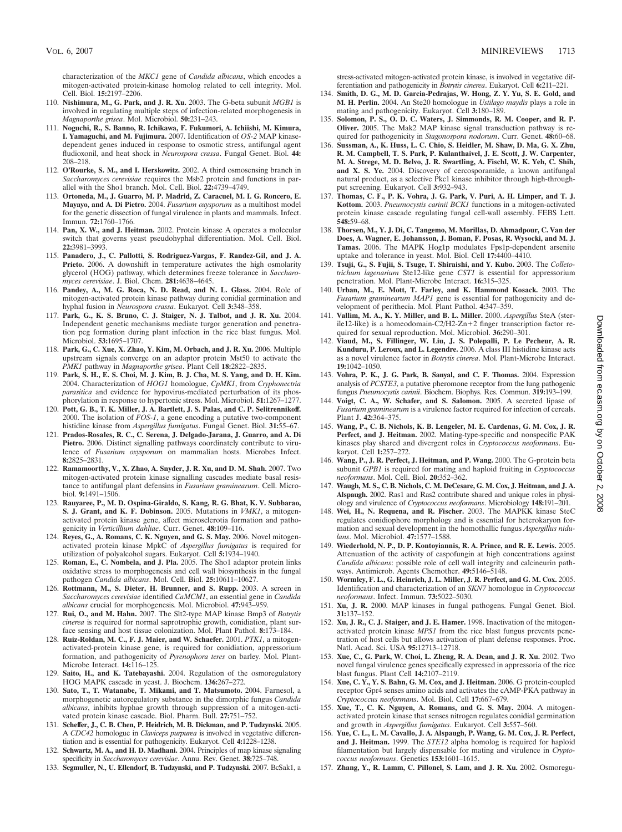characterization of the *MKC1* gene of *Candida albicans*, which encodes a mitogen-activated protein-kinase homolog related to cell integrity. Mol. Cell. Biol. **15:**2197–2206.

- 110. **Nishimura, M., G. Park, and J. R. Xu.** 2003. The G-beta subunit *MGB1* is involved in regulating multiple steps of infection-related morphogenesis in *Magnaporthe grisea*. Mol. Microbiol. **50:**231–243.
- 111. **Noguchi, R., S. Banno, R. Ichikawa, F. Fukumori, A. Ichiishi, M. Kimura, I. Yamaguchi, and M. Fujimura.** 2007. Identification of *OS-2* MAP kinasedependent genes induced in response to osmotic stress, antifungal agent fludioxonil, and heat shock in *Neurospora crassa*. Fungal Genet. Biol. **44:** 208–218.
- 112. **O'Rourke, S. M., and I. Herskowitz.** 2002. A third osmosensing branch in *Saccharomyces cerevisiae* requires the Msb2 protein and functions in parallel with the Sho1 branch. Mol. Cell. Biol. **22:**4739–4749.
- 113. **Ortoneda, M., J. Guarro, M. P. Madrid, Z. Caracuel, M. I. G. Roncero, E. Mayayo, and A. Di Pietro.** 2004. *Fusarium oxysporum* as a multihost model for the genetic dissection of fungal virulence in plants and mammals. Infect. Immun. **72:**1760–1766.
- 114. **Pan, X. W., and J. Heitman.** 2002. Protein kinase A operates a molecular switch that governs yeast pseudohyphal differentiation. Mol. Cell. Biol. **22:**3981–3993.
- 115. **Panadero, J., C. Pallotti, S. Rodriguez-Vargas, F. Randez-Gil, and J. A. Prieto.** 2006. A downshift in temperature activates the high osmolarity glycerol (HOG) pathway, which determines freeze tolerance in *Saccharomyces cerevisiae*. J. Biol. Chem. **281:**4638–4645.
- 116. **Pandey, A., M. G. Roca, N. D. Read, and N. L. Glass.** 2004. Role of mitogen-activated protein kinase pathway during conidial germination and hyphal fusion in *Neurospora crassa*. Eukaryot. Cell **3:**348–358.
- 117. **Park, G., K. S. Bruno, C. J. Staiger, N. J. Talbot, and J. R. Xu.** 2004. Independent genetic mechanisms mediate turgor generation and penetration peg formation during plant infection in the rice blast fungus. Mol. Microbiol. **53:**1695–1707.
- 118. **Park, G., C. Xue, X. Zhao, Y. Kim, M. Orbach, and J. R. Xu.** 2006. Multiple upstream signals converge on an adaptor protein Mst50 to activate the *PMK1* pathway in *Magnaporthe grisea*. Plant Cell **18:**2822–2835.
- 119. **Park, S. H., E. S. Choi, M. J. Kim, B. J. Cha, M. S. Yang, and D. H. Kim.** 2004. Characterization of *HOG1* homologue, *CpMK1*, from *Cryphonectria parasitica* and evidence for hypovirus-mediated perturbation of its phosphorylation in response to hypertonic stress. Mol. Microbiol. **51:**1267–1277.
- 120. **Pott, G. B., T. K. Miller, J. A. Bartlett, J. S. Palas, and C. P. Selitrennikoff.** 2000. The isolation of *FOS-1*, a gene encoding a putative two-component histidine kinase from *Aspergillus fumigatus*. Fungal Genet. Biol. **31:**55–67.
- 121. **Prados-Rosales, R. C., C. Serena, J. Delgado-Jarana, J. Guarro, and A. Di** Pietro. 2006. Distinct signalling pathways coordinately contribute to virulence of *Fusarium oxysporum* on mammalian hosts. Microbes Infect. **8:**2825–2831.
- 122. **Ramamoorthy, V., X. Zhao, A. Snyder, J. R. Xu, and D. M. Shah.** 2007. Two mitogen-activated protein kinase signalling cascades mediate basal resistance to antifungal plant defensins in *Fusarium graminearum*. Cell. Microbiol. **9:**1491–1506.
- 123. **Rauyaree, P., M. D. Ospina-Giraldo, S. Kang, R. G. Bhat, K. V. Subbarao, S. J. Grant, and K. F. Dobinson.** 2005. Mutations in *VMK1*, a mitogenactivated protein kinase gene, affect microsclerotia formation and pathogenicity in *Verticillium dahliae*. Curr. Genet. **48:**109–116.
- 124. **Reyes, G., A. Romans, C. K. Nguyen, and G. S. May.** 2006. Novel mitogenactivated protein kinase MpkC of *Aspergillus fumigatus* is required for utilization of polyalcohol sugars. Eukaryot. Cell **5:**1934–1940.
- 125. **Roman, E., C. Nombela, and J. Pla.** 2005. The Sho1 adaptor protein links oxidative stress to morphogenesis and cell wall biosynthesis in the fungal pathogen *Candida albicans*. Mol. Cell. Biol. **25:**10611–10627.
- 126. **Rottmann, M., S. Dieter, H. Brunner, and S. Rupp.** 2003. A screen in *Saccharomyces cerevisiae* identified *CaMCM1*, an essential gene in *Candida albicans* crucial for morphogenesis. Mol. Microbiol. **47:**943–959.
- 127. **Rui, O., and M. Hahn.** 2007. The Slt2-type MAP kinase Bmp3 of *Botrytis cinerea* is required for normal saprotrophic growth, conidiation, plant surface sensing and host tissue colonization. Mol. Plant Pathol. **8:**173–184.
- 128. **Ruiz-Roldan, M. C., F. J. Maier, and W. Schaefer.** 2001. *PTK1*, a mitogenactivated-protein kinase gene, is required for conidiation, appressorium formation, and pathogenicity of *Pyrenophora teres* on barley. Mol. Plant-Microbe Interact. **14:**116–125.
- Saito, H., and K. Tatebayashi. 2004. Regulation of the osmoregulatory HOG MAPK cascade in yeast. J. Biochem. **136:**267–272.
- 130. **Sato, T., T. Watanabe, T. Mikami, and T. Matsumoto.** 2004. Farnesol, a morphogenetic autoregulatory substance in the dimorphic fungus *Candida albicans*, inhibits hyphae growth through suppression of a mitogen-activated protein kinase cascade. Biol. Pharm. Bull. **27:**751–752.
- 131. **Scheffer, J., C. B. Chen, P. Heidrich, M. B. Dickman, and P. Tudzynski.** 2005. A *CDC42* homologue in *Claviceps purpurea* is involved in vegetative differentiation and is essential for pathogenicity. Eukaryot. Cell **4:**1228–1238.
- 132. **Schwartz, M. A., and H. D. Madhani.** 2004. Principles of map kinase signaling specificity in *Saccharomyces cerevisiae*. Annu. Rev. Genet. **38:**725–748.
- 133. **Segmuller, N., U. Ellendorf, B. Tudzynski, and P. Tudzynski.** 2007. BcSak1, a

stress-activated mitogen-activated protein kinase, is involved in vegetative differentiation and pathogenicity in *Botrytis cinerea*. Eukaryot. Cell **6:**211–221.

- 134. **Smith, D. G., M. D. Garcia-Pedrajas, W. Hong, Z. Y. Yu, S. E. Gold, and M. H. Perlin.** 2004. An Ste20 homologue in *Ustilago maydis* plays a role in mating and pathogenicity. Eukaryot. Cell **3:**180–189.
- 135. **Solomon, P. S., O. D. C. Waters, J. Simmonds, R. M. Cooper, and R. P. Oliver.** 2005. The Mak2 MAP kinase signal transduction pathway is required for pathogenicity in *Stagonospora nodorum*. Curr. Genet. **48:**60–68.
- 136. **Sussman, A., K. Huss, L. C. Chio, S. Heidler, M. Shaw, D. Ma, G. X. Zhu, R. M. Campbell, T. S. Park, P. Kulanthaivel, J. E. Scott, J. W. Carpenter, M. A. Strege, M. D. Belvo, J. R. Swartling, A. Fischl, W. K. Yeh, C. Shih, and X. S. Ye.** 2004. Discovery of cercosporamide, a known antifungal natural product, as a selective Pkc1 kinase inhibitor through high-throughput screening. Eukaryot. Cell **3:**932–943.
- 137. **Thomas, C. F., P. K. Vohra, J. G. Park, V. Puri, A. H. Limper, and T. J. Kottom.** 2003. *Pneumocystis carinii BCK1* functions in a mitogen-activated protein kinase cascade regulating fungal cell-wall assembly. FEBS Lett. **548:**59–68.
- 138. **Thorsen, M., Y. J. Di, C. Tangemo, M. Morillas, D. Ahmadpour, C. Van der Does, A. Wagner, E. Johansson, J. Boman, F. Posas, R. Wysocki, and M. J. Tamas.** 2006. The MAPK Hog1p modulates Fps1p-dependent arsenite uptake and tolerance in yeast. Mol. Biol. Cell **17:**4400–4410.
- 139. **Tsuji, G., S. Fujii, S. Tsuge, T. Shiraishi, and Y. Kubo.** 2003. The *Colletotrichum lagenarium* Ste12-like gene *CST1* is essential for appressorium penetration. Mol. Plant-Microbe Interact. **16:**315–325.
- 140. **Urban, M., E. Mott, T. Farley, and K. Hammond Kosack.** 2003. The *Fusarium graminearum MAP1* gene is essential for pathogenicity and development of perithecia. Mol. Plant Pathol. **4:**347–359.
- 141. **Vallim, M. A., K. Y. Miller, and B. L. Miller.** 2000. *Aspergillus* SteA (sterile12-like) is a homeodomain-C2/H2-Zn+2 finger transcription factor required for sexual reproduction. Mol. Microbiol. **36:**290–301.
- 142. **Viaud, M., S. Fillinger, W. Liu, J. S. Polepalli, P. Le Pecheur, A. R. Kunduru, P. Leroux, and L. Legendre.** 2006. A class III histidine kinase acts as a novel virulence factor in *Botrytis cinerea*. Mol. Plant-Microbe Interact. **19:**1042–1050.
- 143. **Vohra, P. K., J. G. Park, B. Sanyal, and C. F. Thomas.** 2004. Expression analysis of *PCSTE3*, a putative pheromone receptor from the lung pathogenic fungus *Pneumocystis carinii*. Biochem. Biophys. Res. Commun. **319:**193–199.
- 144. **Voigt, C. A., W. Schafer, and S. Salomon.** 2005. A secreted lipase of *Fusarium graminearum* is a virulence factor required for infection of cereals. Plant J. **42:**364–375.
- 145. **Wang, P., C. B. Nichols, K. B. Lengeler, M. E. Cardenas, G. M. Cox, J. R. Perfect, and J. Heitman.** 2002. Mating-type-specific and nonspecific PAK kinases play shared and divergent roles in *Cryptococcus neoformans*. Eukaryot. Cell **1:**257–272.
- 146. **Wang, P., J. R. Perfect, J. Heitman, and P. Wang.** 2000. The G-protein beta subunit *GPB1* is required for mating and haploid fruiting in *Cryptococcus neoformans*. Mol. Cell. Biol. **20:**352–362.
- 147. **Waugh, M. S., C. B. Nichols, C. M. DeCesare, G. M. Cox, J. Heitman, and J. A. Alspaugh.** 2002. Ras1 and Ras2 contribute shared and unique roles in physiology and virulence of *Cryptococcus neoformans*. Microbiology **148:**191–201.
- 148. **Wei, H., N. Requena, and R. Fischer.** 2003. The MAPKK kinase SteC regulates conidiophore morphology and is essential for heterokaryon formation and sexual development in the homothallic fungus *Aspergillus nidulans*. Mol. Microbiol. **47:**1577–1588.
- 149. **Wiederhold, N. P., D. P. Kontoyiannis, R. A. Prince, and R. E. Lewis.** 2005. Attenuation of the activity of caspofungin at high concentrations against *Candida albicans*: possible role of cell wall integrity and calcineurin pathways. Antimicrob. Agents Chemother. **49:**5146–5148.
- 150. **Wormley, F. L., G. Heinrich, J. L. Miller, J. R. Perfect, and G. M. Cox.** 2005. Identification and characterization of an *SKN7* homologue in *Cryptococcus neoformans*. Infect. Immun. **73:**5022–5030.
- 151. **Xu, J. R.** 2000. MAP kinases in fungal pathogens. Fungal Genet. Biol. **31:**137–152.
- 152. **Xu, J. R., C. J. Staiger, and J. E. Hamer.** 1998. Inactivation of the mitogenactivated protein kinase *MPS1* from the rice blast fungus prevents penetration of host cells but allows activation of plant defense responses. Proc. Natl. Acad. Sci. USA **95:**12713–12718.
- 153. **Xue, C., G. Park, W. Choi, L. Zheng, R. A. Dean, and J. R. Xu.** 2002. Two novel fungal virulence genes specifically expressed in appressoria of the rice blast fungus. Plant Cell **14:**2107–2119.
- 154. **Xue, C. Y., Y. S. Bahn, G. M. Cox, and J. Heitman.** 2006. G protein-coupled receptor Gpr4 senses amino acids and activates the cAMP-PKA pathway in *Cryptococcus neoformans*. Mol. Biol. Cell **17:**667–679.
- 155. **Xue, T., C. K. Nguyen, A. Romans, and G. S. May.** 2004. A mitogenactivated protein kinase that senses nitrogen regulates conidial germination and growth in *Aspergillus fumigatus*. Eukaryot. Cell **3:**557–560.
- 156. **Yue, C. L., L. M. Cavallo, J. A. Alspaugh, P. Wang, G. M. Cox, J. R. Perfect, and J. Heitman.** 1999. The *STE12* alpha homolog is required for haploid filamentation but largely dispensable for mating and virulence in *Cryptococcus neoformans*. Genetics **153:**1601–1615.
- 157. **Zhang, Y., R. Lamm, C. Pillonel, S. Lam, and J. R. Xu.** 2002. Osmoregu-